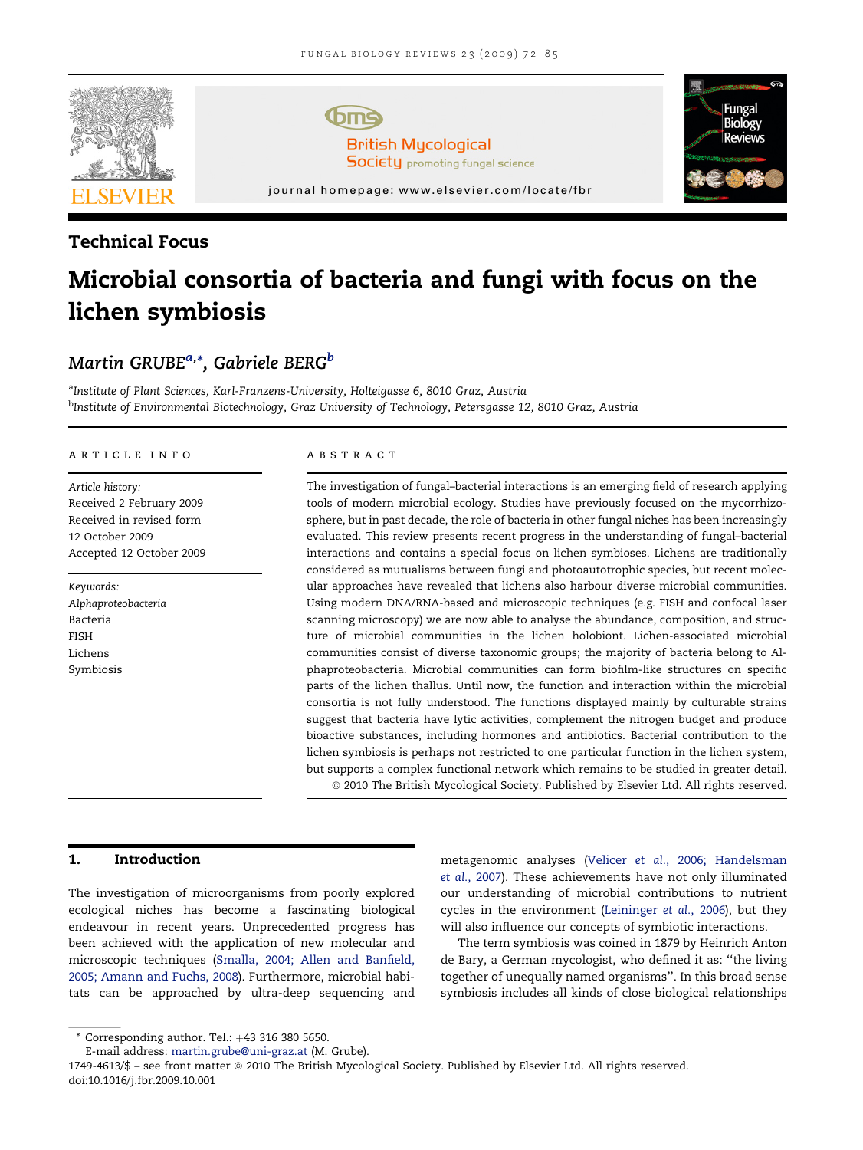

# Technical Focus

# Microbial consortia of bacteria and fungi with focus on the lichen symbiosis

# Martin GRUBE $^{a,\ast}$ , Gabriele BERG $^b$

<sup>a</sup>Institute of Plant Sciences, Karl-Franzens-University, Holteigasse 6, 8010 Graz, Austria <sup>b</sup>Institute of Environmental Biotechnology, Graz University of Technology, Petersgasse 12, 8010 Graz, Austria

#### article info

Article history: Received 2 February 2009 Received in revised form 12 October 2009 Accepted 12 October 2009

Keywords: Alphaproteobacteria Bacteria FISH Lichens Symbiosis

## ABSTRACT

The investigation of fungal–bacterial interactions is an emerging field of research applying tools of modern microbial ecology. Studies have previously focused on the mycorrhizosphere, but in past decade, the role of bacteria in other fungal niches has been increasingly evaluated. This review presents recent progress in the understanding of fungal–bacterial interactions and contains a special focus on lichen symbioses. Lichens are traditionally considered as mutualisms between fungi and photoautotrophic species, but recent molecular approaches have revealed that lichens also harbour diverse microbial communities. Using modern DNA/RNA-based and microscopic techniques (e.g. FISH and confocal laser scanning microscopy) we are now able to analyse the abundance, composition, and structure of microbial communities in the lichen holobiont. Lichen-associated microbial communities consist of diverse taxonomic groups; the majority of bacteria belong to Alphaproteobacteria. Microbial communities can form biofilm-like structures on specific parts of the lichen thallus. Until now, the function and interaction within the microbial consortia is not fully understood. The functions displayed mainly by culturable strains suggest that bacteria have lytic activities, complement the nitrogen budget and produce bioactive substances, including hormones and antibiotics. Bacterial contribution to the lichen symbiosis is perhaps not restricted to one particular function in the lichen system, but supports a complex functional network which remains to be studied in greater detail.  $\odot$  2010 The British Mycological Society. Published by Elsevier Ltd. All rights reserved.

# 1. Introduction

The investigation of microorganisms from poorly explored ecological niches has become a fascinating biological endeavour in recent years. Unprecedented progress has been achieved with the application of new molecular and microscopic techniques [\(Smalla, 2004; Allen and Banfield,](#page-12-0) [2005; Amann and Fuchs, 2008\)](#page-12-0). Furthermore, microbial habitats can be approached by ultra-deep sequencing and metagenomic analyses (Velicer et al.[, 2006; Handelsman](#page-13-0) et al.[, 2007](#page-13-0)). These achievements have not only illuminated our understanding of microbial contributions to nutrient cycles in the environment [\(Leininger](#page-11-0) et al., 2006), but they will also influence our concepts of symbiotic interactions.

The term symbiosis was coined in 1879 by Heinrich Anton de Bary, a German mycologist, who defined it as: ''the living together of unequally named organisms''. In this broad sense symbiosis includes all kinds of close biological relationships

 $*$  Corresponding author. Tel.:  $+43$  316 380 5650.

E-mail address: [martin.grube@uni-graz.at](mailto:martin.grube@uni-graz.at) (M. Grube).

<sup>1749-4613/\$ –</sup> see front matter ª 2010 The British Mycological Society. Published by Elsevier Ltd. All rights reserved. doi:10.1016/j.fbr.2009.10.001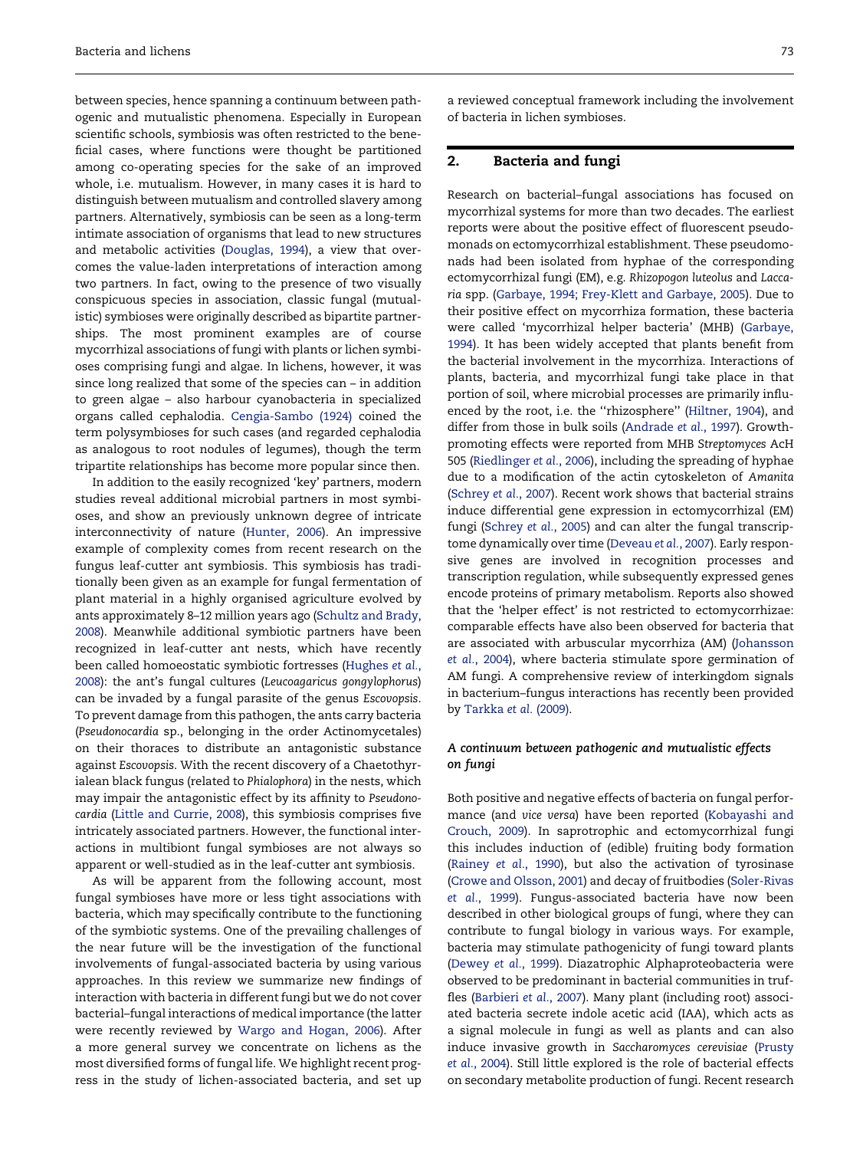between species, hence spanning a continuum between pathogenic and mutualistic phenomena. Especially in European scientific schools, symbiosis was often restricted to the beneficial cases, where functions were thought be partitioned among co-operating species for the sake of an improved whole, i.e. mutualism. However, in many cases it is hard to distinguish between mutualism and controlled slavery among partners. Alternatively, symbiosis can be seen as a long-term intimate association of organisms that lead to new structures and metabolic activities [\(Douglas, 1994\)](#page-10-0), a view that overcomes the value-laden interpretations of interaction among two partners. In fact, owing to the presence of two visually conspicuous species in association, classic fungal (mutualistic) symbioses were originally described as bipartite partnerships. The most prominent examples are of course mycorrhizal associations of fungi with plants or lichen symbioses comprising fungi and algae. In lichens, however, it was since long realized that some of the species can – in addition to green algae – also harbour cyanobacteria in specialized organs called cephalodia. [Cengia-Sambo \(1924\)](#page-10-0) coined the term polysymbioses for such cases (and regarded cephalodia as analogous to root nodules of legumes), though the term tripartite relationships has become more popular since then.

In addition to the easily recognized 'key' partners, modern studies reveal additional microbial partners in most symbioses, and show an previously unknown degree of intricate interconnectivity of nature ([Hunter, 2006](#page-11-0)). An impressive example of complexity comes from recent research on the fungus leaf-cutter ant symbiosis. This symbiosis has traditionally been given as an example for fungal fermentation of plant material in a highly organised agriculture evolved by ants approximately 8–12 million years ago ([Schultz and Brady,](#page-12-0) [2008](#page-12-0)). Meanwhile additional symbiotic partners have been recognized in leaf-cutter ant nests, which have recently been called homoeostatic symbiotic fortresses ([Hughes](#page-11-0) et al., [2008](#page-11-0)): the ant's fungal cultures (Leucoagaricus gongylophorus) can be invaded by a fungal parasite of the genus Escovopsis. To prevent damage from this pathogen, the ants carry bacteria (Pseudonocardia sp., belonging in the order Actinomycetales) on their thoraces to distribute an antagonistic substance against Escovopsis. With the recent discovery of a Chaetothyrialean black fungus (related to Phialophora) in the nests, which may impair the antagonistic effect by its affinity to Pseudonocardia [\(Little and Currie, 2008\)](#page-11-0), this symbiosis comprises five intricately associated partners. However, the functional interactions in multibiont fungal symbioses are not always so apparent or well-studied as in the leaf-cutter ant symbiosis.

As will be apparent from the following account, most fungal symbioses have more or less tight associations with bacteria, which may specifically contribute to the functioning of the symbiotic systems. One of the prevailing challenges of the near future will be the investigation of the functional involvements of fungal-associated bacteria by using various approaches. In this review we summarize new findings of interaction with bacteria in different fungi but we do not cover bacterial–fungal interactions of medical importance (the latter were recently reviewed by [Wargo and Hogan, 2006](#page-13-0)). After a more general survey we concentrate on lichens as the most diversified forms of fungal life. We highlight recent progress in the study of lichen-associated bacteria, and set up a reviewed conceptual framework including the involvement of bacteria in lichen symbioses.

## 2. Bacteria and fungi

Research on bacterial–fungal associations has focused on mycorrhizal systems for more than two decades. The earliest reports were about the positive effect of fluorescent pseudomonads on ectomycorrhizal establishment. These pseudomonads had been isolated from hyphae of the corresponding ectomycorrhizal fungi (EM), e.g. Rhizopogon luteolus and Laccaria spp. ([Garbaye, 1994; Frey-Klett and Garbaye, 2005\)](#page-10-0). Due to their positive effect on mycorrhiza formation, these bacteria were called 'mycorrhizal helper bacteria' (MHB) ([Garbaye,](#page-10-0) [1994](#page-10-0)). It has been widely accepted that plants benefit from the bacterial involvement in the mycorrhiza. Interactions of plants, bacteria, and mycorrhizal fungi take place in that portion of soil, where microbial processes are primarily influenced by the root, i.e. the ''rhizosphere'' [\(Hiltner, 1904](#page-11-0)), and differ from those in bulk soils ([Andrade](#page-9-0) et al., 1997). Growthpromoting effects were reported from MHB Streptomyces AcH 505 ([Riedlinger](#page-12-0) et al., 2006), including the spreading of hyphae due to a modification of the actin cytoskeleton of Amanita [\(Schrey](#page-12-0) et al., 2007). Recent work shows that bacterial strains induce differential gene expression in ectomycorrhizal (EM) fungi ([Schrey](#page-12-0) et al., 2005) and can alter the fungal transcriptome dynamically over time [\(Deveau](#page-10-0) et al., 2007). Early responsive genes are involved in recognition processes and transcription regulation, while subsequently expressed genes encode proteins of primary metabolism. Reports also showed that the 'helper effect' is not restricted to ectomycorrhizae: comparable effects have also been observed for bacteria that are associated with arbuscular mycorrhiza (AM) ([Johansson](#page-11-0) et al.[, 2004](#page-11-0)), where bacteria stimulate spore germination of AM fungi. A comprehensive review of interkingdom signals in bacterium–fungus interactions has recently been provided by [Tarkka](#page-12-0) et al. (2009).

# A continuum between pathogenic and mutualistic effects on fungi

Both positive and negative effects of bacteria on fungal performance (and vice versa) have been reported ([Kobayashi and](#page-11-0) [Crouch, 2009\)](#page-11-0). In saprotrophic and ectomycorrhizal fungi this includes induction of (edible) fruiting body formation [\(Rainey](#page-12-0) et al., 1990), but also the activation of tyrosinase [\(Crowe and Olsson, 2001\)](#page-10-0) and decay of fruitbodies [\(Soler-Rivas](#page-12-0) et al.[, 1999\)](#page-12-0). Fungus-associated bacteria have now been described in other biological groups of fungi, where they can contribute to fungal biology in various ways. For example, bacteria may stimulate pathogenicity of fungi toward plants [\(Dewey](#page-10-0) et al., 1999). Diazatrophic Alphaproteobacteria were observed to be predominant in bacterial communities in truffles ([Barbieri](#page-9-0) et al., 2007). Many plant (including root) associated bacteria secrete indole acetic acid (IAA), which acts as a signal molecule in fungi as well as plants and can also induce invasive growth in Saccharomyces cerevisiae [\(Prusty](#page-12-0) et al.[, 2004\)](#page-12-0). Still little explored is the role of bacterial effects on secondary metabolite production of fungi. Recent research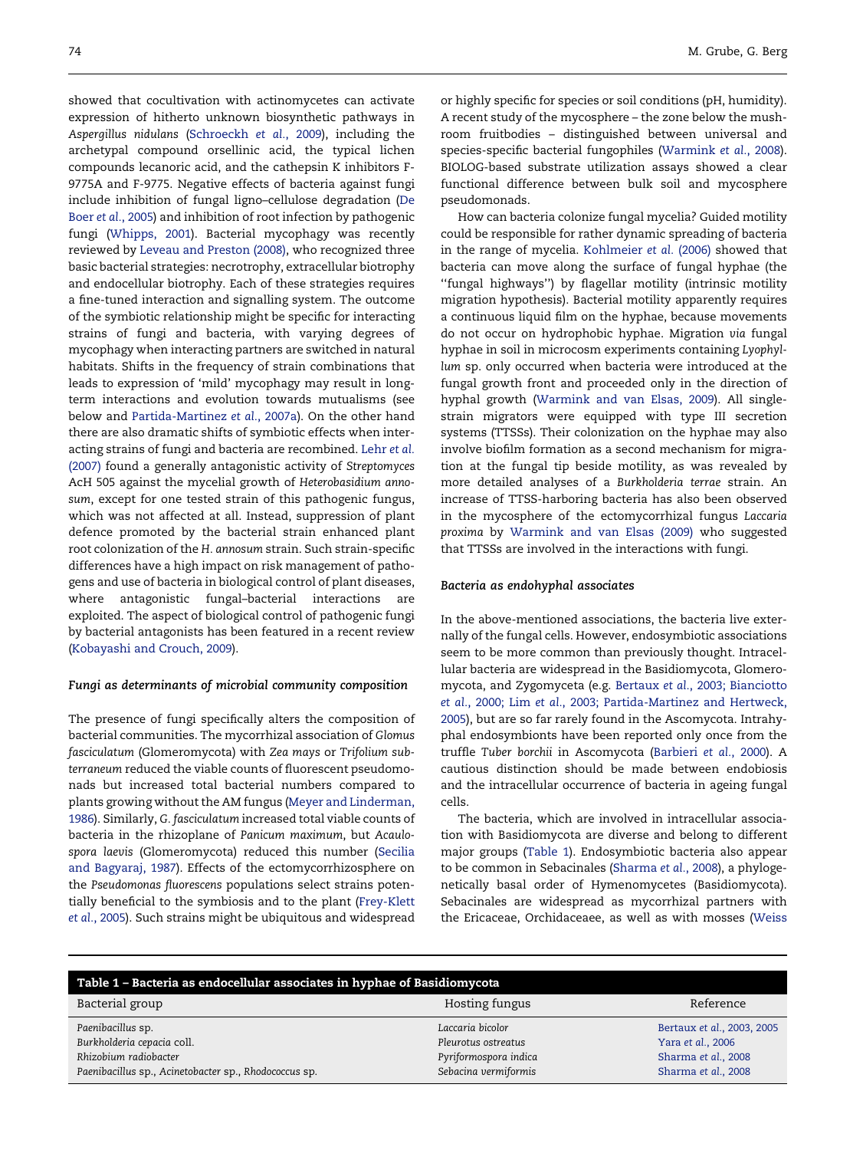<span id="page-2-0"></span>showed that cocultivation with actinomycetes can activate expression of hitherto unknown biosynthetic pathways in Aspergillus nidulans ([Schroeckh](#page-12-0) et al., 2009), including the archetypal compound orsellinic acid, the typical lichen compounds lecanoric acid, and the cathepsin K inhibitors F-9775A and F-9775. Negative effects of bacteria against fungi include inhibition of fungal ligno–cellulose degradation ([De](#page-10-0) Boer et al.[, 2005\)](#page-10-0) and inhibition of root infection by pathogenic fungi ([Whipps, 2001\)](#page-13-0). Bacterial mycophagy was recently reviewed by [Leveau and Preston \(2008\)](#page-11-0), who recognized three basic bacterial strategies: necrotrophy, extracellular biotrophy and endocellular biotrophy. Each of these strategies requires a fine-tuned interaction and signalling system. The outcome of the symbiotic relationship might be specific for interacting strains of fungi and bacteria, with varying degrees of mycophagy when interacting partners are switched in natural habitats. Shifts in the frequency of strain combinations that leads to expression of 'mild' mycophagy may result in longterm interactions and evolution towards mutualisms (see below and [Partida-Martinez](#page-12-0) et al., 2007a). On the other hand there are also dramatic shifts of symbiotic effects when interacting strains of fungi and bacteria are recombined. [Lehr](#page-11-0) et al. [\(2007\)](#page-11-0) found a generally antagonistic activity of Streptomyces AcH 505 against the mycelial growth of Heterobasidium annosum, except for one tested strain of this pathogenic fungus, which was not affected at all. Instead, suppression of plant defence promoted by the bacterial strain enhanced plant root colonization of the H. annosum strain. Such strain-specific differences have a high impact on risk management of pathogens and use of bacteria in biological control of plant diseases, where antagonistic fungal–bacterial interactions are exploited. The aspect of biological control of pathogenic fungi by bacterial antagonists has been featured in a recent review ([Kobayashi and Crouch, 2009](#page-11-0)).

## Fungi as determinants of microbial community composition

The presence of fungi specifically alters the composition of bacterial communities. The mycorrhizal association of Glomus fasciculatum (Glomeromycota) with Zea mays or Trifolium subterraneum reduced the viable counts of fluorescent pseudomonads but increased total bacterial numbers compared to plants growing without the AM fungus [\(Meyer and Linderman,](#page-11-0) [1986\)](#page-11-0). Similarly, G. fasciculatum increased total viable counts of bacteria in the rhizoplane of Panicum maximum, but Acaulospora laevis (Glomeromycota) reduced this number [\(Secilia](#page-12-0) [and Bagyaraj, 1987\)](#page-12-0). Effects of the ectomycorrhizosphere on the Pseudomonas fluorescens populations select strains potentially beneficial to the symbiosis and to the plant ([Frey-Klett](#page-10-0) et al.[, 2005\)](#page-10-0). Such strains might be ubiquitous and widespread

or highly specific for species or soil conditions (pH, humidity). A recent study of the mycosphere – the zone below the mushroom fruitbodies – distinguished between universal and species-specific bacterial fungophiles ([Warmink](#page-13-0) et al., 2008). BIOLOG-based substrate utilization assays showed a clear functional difference between bulk soil and mycosphere pseudomonads.

How can bacteria colonize fungal mycelia? Guided motility could be responsible for rather dynamic spreading of bacteria in the range of mycelia. [Kohlmeier](#page-11-0) et al. (2006) showed that bacteria can move along the surface of fungal hyphae (the ''fungal highways'') by flagellar motility (intrinsic motility migration hypothesis). Bacterial motility apparently requires a continuous liquid film on the hyphae, because movements do not occur on hydrophobic hyphae. Migration via fungal hyphae in soil in microcosm experiments containing Lyophyllum sp. only occurred when bacteria were introduced at the fungal growth front and proceeded only in the direction of hyphal growth [\(Warmink and van Elsas, 2009](#page-13-0)). All singlestrain migrators were equipped with type III secretion systems (TTSSs). Their colonization on the hyphae may also involve biofilm formation as a second mechanism for migration at the fungal tip beside motility, as was revealed by more detailed analyses of a Burkholderia terrae strain. An increase of TTSS-harboring bacteria has also been observed in the mycosphere of the ectomycorrhizal fungus Laccaria proxima by [Warmink and van Elsas \(2009\)](#page-13-0) who suggested that TTSSs are involved in the interactions with fungi.

#### Bacteria as endohyphal associates

In the above-mentioned associations, the bacteria live externally of the fungal cells. However, endosymbiotic associations seem to be more common than previously thought. Intracellular bacteria are widespread in the Basidiomycota, Glomeromycota, and Zygomyceta (e.g. Bertaux et al.[, 2003; Bianciotto](#page-10-0) et al., 2000; Lim et al.[, 2003; Partida-Martinez and Hertweck,](#page-10-0) [2005\)](#page-10-0), but are so far rarely found in the Ascomycota. Intrahyphal endosymbionts have been reported only once from the truffle Tuber borchii in Ascomycota [\(Barbieri](#page-9-0) et al., 2000). A cautious distinction should be made between endobiosis and the intracellular occurrence of bacteria in ageing fungal cells.

The bacteria, which are involved in intracellular association with Basidiomycota are diverse and belong to different major groups (Table 1). Endosymbiotic bacteria also appear to be common in Sebacinales [\(Sharma](#page-12-0) et al., 2008), a phylogenetically basal order of Hymenomycetes (Basidiomycota). Sebacinales are widespread as mycorrhizal partners with the Ericaceae, Orchidaceaee, as well as with mosses [\(Weiss](#page-13-0)

| Table 1 - Bacteria as endocellular associates in hyphae of Basidiomycota                                                          |                                                                                          |                                                                                               |
|-----------------------------------------------------------------------------------------------------------------------------------|------------------------------------------------------------------------------------------|-----------------------------------------------------------------------------------------------|
| Bacterial group                                                                                                                   | Hosting fungus                                                                           | Reference                                                                                     |
| Paenibacillus sp.<br>Burkholderia cepacia coll.<br>Rhizobium radiobacter<br>Paenibacillus sp., Acinetobacter sp., Rhodococcus sp. | Laccaria bicolor<br>Pleurotus ostreatus<br>Pyriformospora indica<br>Sebacina vermiformis | Bertaux et al., 2003, 2005<br>Yara et al., 2006<br>Sharma et al., 2008<br>Sharma et al., 2008 |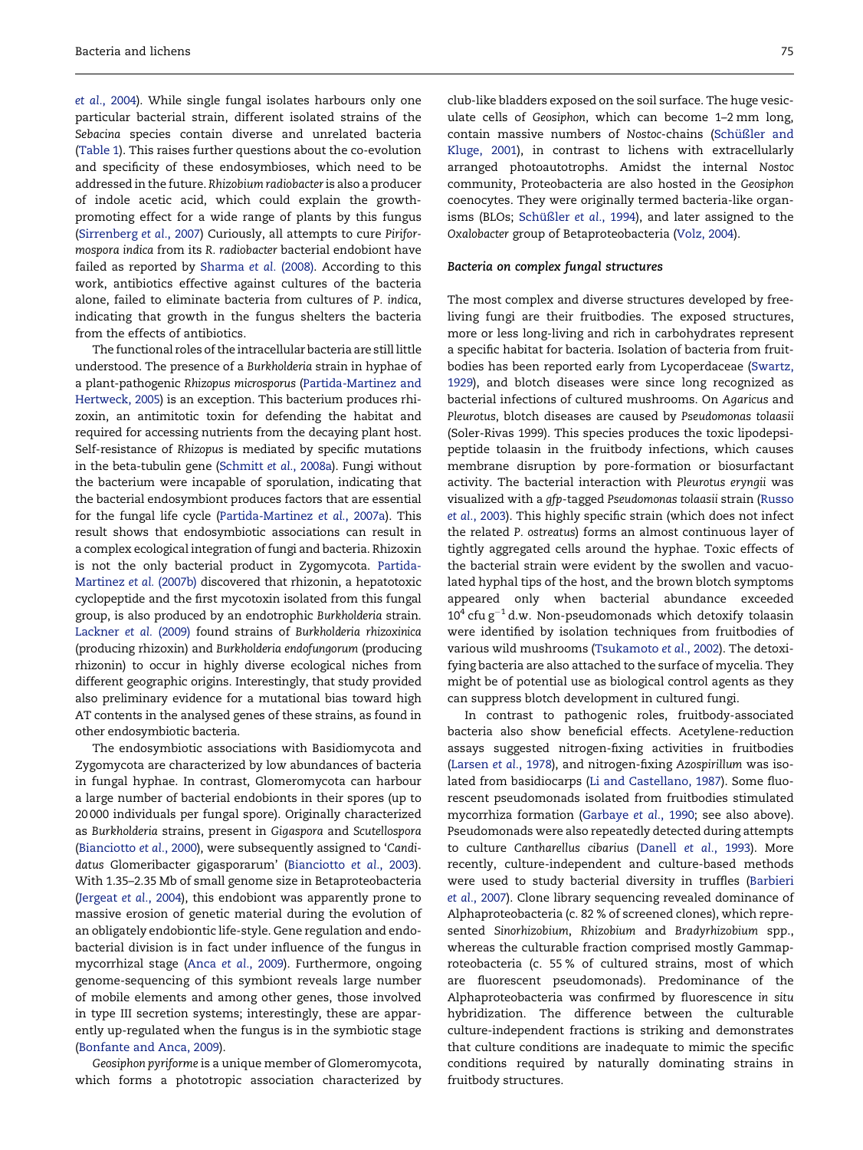et al.[, 2004](#page-13-0)). While single fungal isolates harbours only one particular bacterial strain, different isolated strains of the Sebacina species contain diverse and unrelated bacteria [\(Table 1](#page-2-0)). This raises further questions about the co-evolution and specificity of these endosymbioses, which need to be addressed in the future. Rhizobium radiobacter is also a producer of indole acetic acid, which could explain the growthpromoting effect for a wide range of plants by this fungus [\(Sirrenberg](#page-12-0) et al., 2007) Curiously, all attempts to cure Piriformospora indica from its R. radiobacter bacterial endobiont have failed as reported by [Sharma](#page-12-0) et al. (2008). According to this work, antibiotics effective against cultures of the bacteria alone, failed to eliminate bacteria from cultures of P. indica, indicating that growth in the fungus shelters the bacteria from the effects of antibiotics.

The functional roles of the intracellular bacteria are still little understood. The presence of a Burkholderia strain in hyphae of a plant-pathogenic Rhizopus microsporus [\(Partida-Martinez and](#page-12-0) [Hertweck, 2005](#page-12-0)) is an exception. This bacterium produces rhizoxin, an antimitotic toxin for defending the habitat and required for accessing nutrients from the decaying plant host. Self-resistance of Rhizopus is mediated by specific mutations in the beta-tubulin gene [\(Schmitt](#page-12-0) et al., 2008a). Fungi without the bacterium were incapable of sporulation, indicating that the bacterial endosymbiont produces factors that are essential for the fungal life cycle ([Partida-Martinez](#page-12-0) et al., 2007a). This result shows that endosymbiotic associations can result in a complex ecological integration of fungi and bacteria. Rhizoxin is not the only bacterial product in Zygomycota. [Partida-](#page-12-0)[Martinez](#page-12-0) et al. (2007b) discovered that rhizonin, a hepatotoxic cyclopeptide and the first mycotoxin isolated from this fungal group, is also produced by an endotrophic Burkholderia strain. [Lackner](#page-11-0) et al. (2009) found strains of Burkholderia rhizoxinica (producing rhizoxin) and Burkholderia endofungorum (producing rhizonin) to occur in highly diverse ecological niches from different geographic origins. Interestingly, that study provided also preliminary evidence for a mutational bias toward high AT contents in the analysed genes of these strains, as found in other endosymbiotic bacteria.

The endosymbiotic associations with Basidiomycota and Zygomycota are characterized by low abundances of bacteria in fungal hyphae. In contrast, Glomeromycota can harbour a large number of bacterial endobionts in their spores (up to 20 000 individuals per fungal spore). Originally characterized as Burkholderia strains, present in Gigaspora and Scutellospora [\(Bianciotto](#page-10-0) et al., 2000), were subsequently assigned to 'Candidatus Glomeribacter gigasporarum' ([Bianciotto](#page-10-0) et al., 2003). With 1.35–2.35 Mb of small genome size in Betaproteobacteria [\(Jergeat](#page-11-0) et al., 2004), this endobiont was apparently prone to massive erosion of genetic material during the evolution of an obligately endobiontic life-style. Gene regulation and endobacterial division is in fact under influence of the fungus in mycorrhizal stage [\(Anca](#page-9-0) et al., 2009). Furthermore, ongoing genome-sequencing of this symbiont reveals large number of mobile elements and among other genes, those involved in type III secretion systems; interestingly, these are apparently up-regulated when the fungus is in the symbiotic stage [\(Bonfante and Anca, 2009](#page-10-0)).

Geosiphon pyriforme is a unique member of Glomeromycota, which forms a phototropic association characterized by club-like bladders exposed on the soil surface. The huge vesiculate cells of Geosiphon, which can become 1–2 mm long, contain massive numbers of Nostoc-chains (Schü[ßler and](#page-12-0) [Kluge, 2001\)](#page-12-0), in contrast to lichens with extracellularly arranged photoautotrophs. Amidst the internal Nostoc community, Proteobacteria are also hosted in the Geosiphon coenocytes. They were originally termed bacteria-like organ-isms (BLOs; Schüßler et al.[, 1994\)](#page-12-0), and later assigned to the Oxalobacter group of Betaproteobacteria [\(Volz, 2004\)](#page-13-0).

#### Bacteria on complex fungal structures

The most complex and diverse structures developed by freeliving fungi are their fruitbodies. The exposed structures, more or less long-living and rich in carbohydrates represent a specific habitat for bacteria. Isolation of bacteria from fruitbodies has been reported early from Lycoperdaceae ([Swartz,](#page-12-0) [1929](#page-12-0)), and blotch diseases were since long recognized as bacterial infections of cultured mushrooms. On Agaricus and Pleurotus, blotch diseases are caused by Pseudomonas tolaasii (Soler-Rivas 1999). This species produces the toxic lipodepsipeptide tolaasin in the fruitbody infections, which causes membrane disruption by pore-formation or biosurfactant activity. The bacterial interaction with Pleurotus eryngii was visualized with a gfp-tagged Pseudomonas tolaasii strain [\(Russo](#page-12-0) et al.[, 2003](#page-12-0)). This highly specific strain (which does not infect the related P. ostreatus) forms an almost continuous layer of tightly aggregated cells around the hyphae. Toxic effects of the bacterial strain were evident by the swollen and vacuolated hyphal tips of the host, and the brown blotch symptoms appeared only when bacterial abundance exceeded  $10^4$  cfu g<sup>-1</sup> d.w. Non-pseudomonads which detoxify tolaasin were identified by isolation techniques from fruitbodies of various wild mushrooms ([Tsukamoto](#page-12-0) et al., 2002). The detoxifying bacteria are also attached to the surface of mycelia. They might be of potential use as biological control agents as they can suppress blotch development in cultured fungi.

In contrast to pathogenic roles, fruitbody-associated bacteria also show beneficial effects. Acetylene-reduction assays suggested nitrogen-fixing activities in fruitbodies [\(Larsen](#page-11-0) et al., 1978), and nitrogen-fixing Azospirillum was isolated from basidiocarps [\(Li and Castellano, 1987\)](#page-11-0). Some fluorescent pseudomonads isolated from fruitbodies stimulated mycorrhiza formation [\(Garbaye](#page-10-0) et al., 1990; see also above). Pseudomonads were also repeatedly detected during attempts to culture Cantharellus cibarius ([Danell](#page-10-0) et al., 1993). More recently, culture-independent and culture-based methods were used to study bacterial diversity in truffles ([Barbieri](#page-9-0) et al.[, 2007\)](#page-9-0). Clone library sequencing revealed dominance of Alphaproteobacteria (c. 82 % of screened clones), which represented Sinorhizobium, Rhizobium and Bradyrhizobium spp., whereas the culturable fraction comprised mostly Gammaproteobacteria (c. 55 % of cultured strains, most of which are fluorescent pseudomonads). Predominance of the Alphaproteobacteria was confirmed by fluorescence in situ hybridization. The difference between the culturable culture-independent fractions is striking and demonstrates that culture conditions are inadequate to mimic the specific conditions required by naturally dominating strains in fruitbody structures.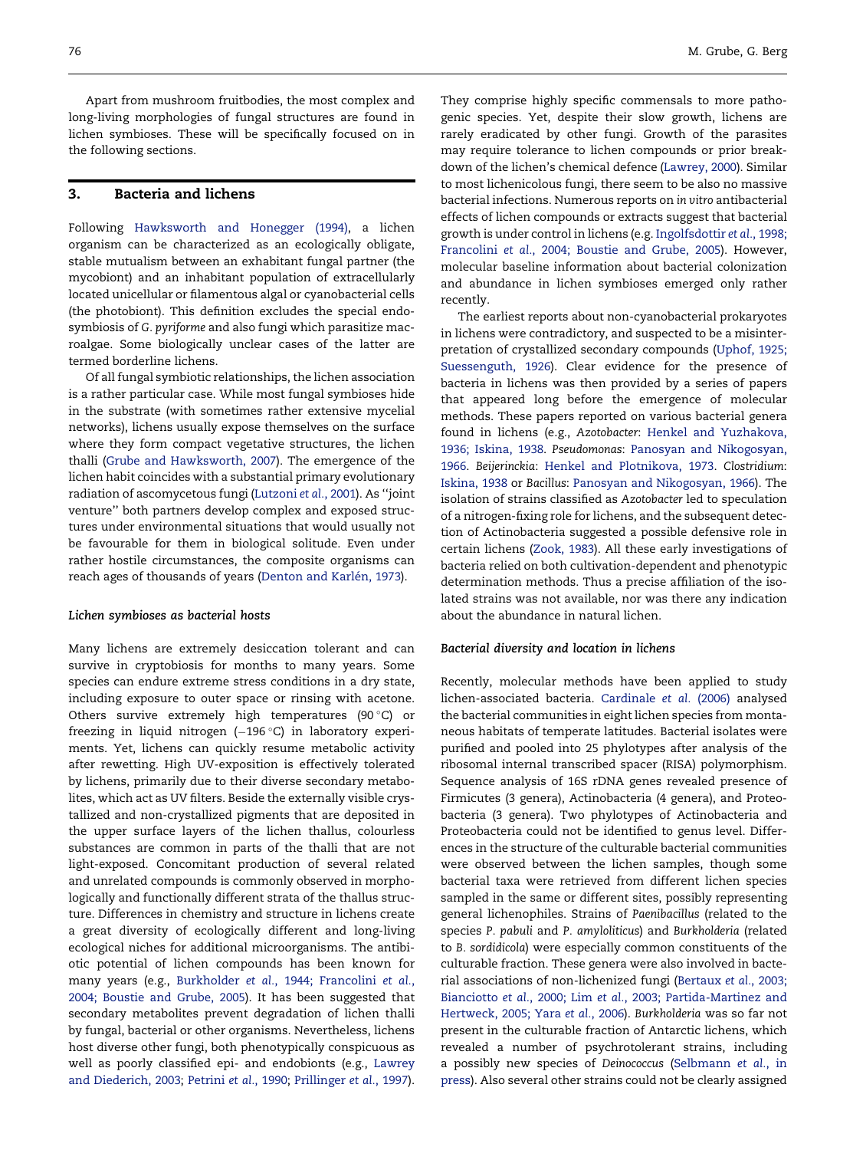Apart from mushroom fruitbodies, the most complex and long-living morphologies of fungal structures are found in lichen symbioses. These will be specifically focused on in the following sections.

# 3. Bacteria and lichens

Following [Hawksworth and Honegger \(1994\)](#page-11-0), a lichen organism can be characterized as an ecologically obligate, stable mutualism between an exhabitant fungal partner (the mycobiont) and an inhabitant population of extracellularly located unicellular or filamentous algal or cyanobacterial cells (the photobiont). This definition excludes the special endosymbiosis of G. pyriforme and also fungi which parasitize macroalgae. Some biologically unclear cases of the latter are termed borderline lichens.

Of all fungal symbiotic relationships, the lichen association is a rather particular case. While most fungal symbioses hide in the substrate (with sometimes rather extensive mycelial networks), lichens usually expose themselves on the surface where they form compact vegetative structures, the lichen thalli [\(Grube and Hawksworth, 2007\)](#page-11-0). The emergence of the lichen habit coincides with a substantial primary evolutionary radiation of ascomycetous fungi ([Lutzoni](#page-11-0) et al., 2001). As ''joint venture'' both partners develop complex and exposed structures under environmental situations that would usually not be favourable for them in biological solitude. Even under rather hostile circumstances, the composite organisms can reach ages of thousands of years (Denton and Karlén, 1973).

#### Lichen symbioses as bacterial hosts

Many lichens are extremely desiccation tolerant and can survive in cryptobiosis for months to many years. Some species can endure extreme stress conditions in a dry state, including exposure to outer space or rinsing with acetone. Others survive extremely high temperatures (90 °C) or freezing in liquid nitrogen (-196 °C) in laboratory experiments. Yet, lichens can quickly resume metabolic activity after rewetting. High UV-exposition is effectively tolerated by lichens, primarily due to their diverse secondary metabolites, which act as UV filters. Beside the externally visible crystallized and non-crystallized pigments that are deposited in the upper surface layers of the lichen thallus, colourless substances are common in parts of the thalli that are not light-exposed. Concomitant production of several related and unrelated compounds is commonly observed in morphologically and functionally different strata of the thallus structure. Differences in chemistry and structure in lichens create a great diversity of ecologically different and long-living ecological niches for additional microorganisms. The antibiotic potential of lichen compounds has been known for many years (e.g., Burkholder et al.[, 1944; Francolini](#page-10-0) et al., [2004; Boustie and Grube, 2005](#page-10-0)). It has been suggested that secondary metabolites prevent degradation of lichen thalli by fungal, bacterial or other organisms. Nevertheless, lichens host diverse other fungi, both phenotypically conspicuous as well as poorly classified epi- and endobionts (e.g., [Lawrey](#page-11-0) [and Diederich, 2003;](#page-11-0) [Petrini](#page-12-0) et al., 1990; [Prillinger](#page-12-0) et al., 1997).

They comprise highly specific commensals to more pathogenic species. Yet, despite their slow growth, lichens are rarely eradicated by other fungi. Growth of the parasites may require tolerance to lichen compounds or prior breakdown of the lichen's chemical defence [\(Lawrey, 2000](#page-11-0)). Similar to most lichenicolous fungi, there seem to be also no massive bacterial infections. Numerous reports on in vitro antibacterial effects of lichen compounds or extracts suggest that bacterial growth is under control in lichens (e.g. [Ingolfsdottir](#page-11-0) et al., 1998; Francolini et al.[, 2004; Boustie and Grube, 2005\)](#page-11-0). However, molecular baseline information about bacterial colonization and abundance in lichen symbioses emerged only rather recently.

The earliest reports about non-cyanobacterial prokaryotes in lichens were contradictory, and suspected to be a misinterpretation of crystallized secondary compounds ([Uphof, 1925;](#page-13-0) [Suessenguth, 1926](#page-13-0)). Clear evidence for the presence of bacteria in lichens was then provided by a series of papers that appeared long before the emergence of molecular methods. These papers reported on various bacterial genera found in lichens (e.g., Azotobacter: [Henkel and Yuzhakova,](#page-11-0) [1936; Iskina, 1938](#page-11-0). Pseudomonas: [Panosyan and Nikogosyan,](#page-12-0) [1966.](#page-12-0) Beijerinckia: [Henkel and Plotnikova, 1973.](#page-11-0) Clostridium: [Iskina, 1938](#page-11-0) or Bacillus: [Panosyan and Nikogosyan, 1966](#page-12-0)). The isolation of strains classified as Azotobacter led to speculation of a nitrogen-fixing role for lichens, and the subsequent detection of Actinobacteria suggested a possible defensive role in certain lichens [\(Zook, 1983](#page-13-0)). All these early investigations of bacteria relied on both cultivation-dependent and phenotypic determination methods. Thus a precise affiliation of the isolated strains was not available, nor was there any indication about the abundance in natural lichen.

#### Bacterial diversity and location in lichens

Recently, molecular methods have been applied to study lichen-associated bacteria. [Cardinale](#page-10-0) et al. (2006) analysed the bacterial communities in eight lichen species from montaneous habitats of temperate latitudes. Bacterial isolates were purified and pooled into 25 phylotypes after analysis of the ribosomal internal transcribed spacer (RISA) polymorphism. Sequence analysis of 16S rDNA genes revealed presence of Firmicutes (3 genera), Actinobacteria (4 genera), and Proteobacteria (3 genera). Two phylotypes of Actinobacteria and Proteobacteria could not be identified to genus level. Differences in the structure of the culturable bacterial communities were observed between the lichen samples, though some bacterial taxa were retrieved from different lichen species sampled in the same or different sites, possibly representing general lichenophiles. Strains of Paenibacillus (related to the species P. pabuli and P. amyloliticus) and Burkholderia (related to B. sordidicola) were especially common constituents of the culturable fraction. These genera were also involved in bacterial associations of non-lichenized fungi ([Bertaux](#page-10-0) et al., 2003; Bianciotto et al., 2000; Lim et al.[, 2003; Partida-Martinez and](#page-10-0) [Hertweck, 2005; Yara](#page-10-0) et al., 2006). Burkholderia was so far not present in the culturable fraction of Antarctic lichens, which revealed a number of psychrotolerant strains, including a possibly new species of Deinococcus [\(Selbmann](#page-12-0) et al., in [press](#page-12-0)). Also several other strains could not be clearly assigned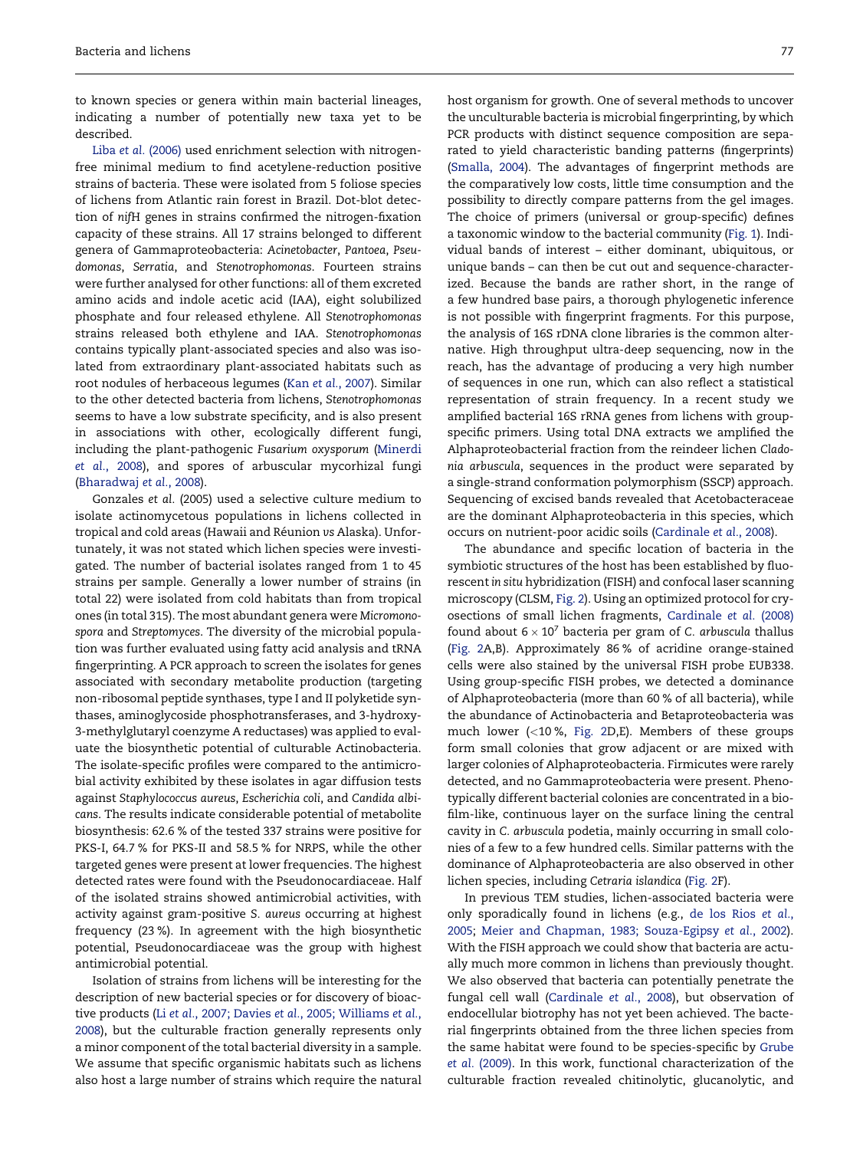to known species or genera within main bacterial lineages, indicating a number of potentially new taxa yet to be described.

Liba et al. [\(2006\)](#page-11-0) used enrichment selection with nitrogenfree minimal medium to find acetylene-reduction positive strains of bacteria. These were isolated from 5 foliose species of lichens from Atlantic rain forest in Brazil. Dot-blot detection of nifH genes in strains confirmed the nitrogen-fixation capacity of these strains. All 17 strains belonged to different genera of Gammaproteobacteria: Acinetobacter, Pantoea, Pseudomonas, Serratia, and Stenotrophomonas. Fourteen strains were further analysed for other functions: all of them excreted amino acids and indole acetic acid (IAA), eight solubilized phosphate and four released ethylene. All Stenotrophomonas strains released both ethylene and IAA. Stenotrophomonas contains typically plant-associated species and also was isolated from extraordinary plant-associated habitats such as root nodules of herbaceous legumes (Kan et al.[, 2007\)](#page-11-0). Similar to the other detected bacteria from lichens, Stenotrophomonas seems to have a low substrate specificity, and is also present in associations with other, ecologically different fungi, including the plant-pathogenic Fusarium oxysporum ([Minerdi](#page-11-0) et al.[, 2008](#page-11-0)), and spores of arbuscular mycorhizal fungi [\(Bharadwaj](#page-9-0) et al., 2008).

Gonzales et al. (2005) used a selective culture medium to isolate actinomycetous populations in lichens collected in tropical and cold areas (Hawaii and Réunion vs Alaska). Unfortunately, it was not stated which lichen species were investigated. The number of bacterial isolates ranged from 1 to 45 strains per sample. Generally a lower number of strains (in total 22) were isolated from cold habitats than from tropical ones (in total 315). The most abundant genera were Micromonospora and Streptomyces. The diversity of the microbial population was further evaluated using fatty acid analysis and tRNA fingerprinting. A PCR approach to screen the isolates for genes associated with secondary metabolite production (targeting non-ribosomal peptide synthases, type I and II polyketide synthases, aminoglycoside phosphotransferases, and 3-hydroxy-3-methylglutaryl coenzyme A reductases) was applied to evaluate the biosynthetic potential of culturable Actinobacteria. The isolate-specific profiles were compared to the antimicrobial activity exhibited by these isolates in agar diffusion tests against Staphylococcus aureus, Escherichia coli, and Candida albicans. The results indicate considerable potential of metabolite biosynthesis: 62.6 % of the tested 337 strains were positive for PKS-I, 64.7 % for PKS-II and 58.5 % for NRPS, while the other targeted genes were present at lower frequencies. The highest detected rates were found with the Pseudonocardiaceae. Half of the isolated strains showed antimicrobial activities, with activity against gram-positive S. aureus occurring at highest frequency (23 %). In agreement with the high biosynthetic potential, Pseudonocardiaceae was the group with highest antimicrobial potential.

Isolation of strains from lichens will be interesting for the description of new bacterial species or for discovery of bioactive products (Li et al., 2007; Davies et al.[, 2005; Williams](#page-11-0) et al., [2008](#page-11-0)), but the culturable fraction generally represents only a minor component of the total bacterial diversity in a sample. We assume that specific organismic habitats such as lichens also host a large number of strains which require the natural host organism for growth. One of several methods to uncover the unculturable bacteria is microbial fingerprinting, by which PCR products with distinct sequence composition are separated to yield characteristic banding patterns (fingerprints) [\(Smalla, 2004](#page-12-0)). The advantages of fingerprint methods are the comparatively low costs, little time consumption and the possibility to directly compare patterns from the gel images. The choice of primers (universal or group-specific) defines a taxonomic window to the bacterial community ([Fig. 1\)](#page-6-0). Individual bands of interest – either dominant, ubiquitous, or unique bands – can then be cut out and sequence-characterized. Because the bands are rather short, in the range of a few hundred base pairs, a thorough phylogenetic inference is not possible with fingerprint fragments. For this purpose, the analysis of 16S rDNA clone libraries is the common alternative. High throughput ultra-deep sequencing, now in the reach, has the advantage of producing a very high number of sequences in one run, which can also reflect a statistical representation of strain frequency. In a recent study we amplified bacterial 16S rRNA genes from lichens with groupspecific primers. Using total DNA extracts we amplified the Alphaproteobacterial fraction from the reindeer lichen Cladonia arbuscula, sequences in the product were separated by a single-strand conformation polymorphism (SSCP) approach. Sequencing of excised bands revealed that Acetobacteraceae are the dominant Alphaproteobacteria in this species, which occurs on nutrient-poor acidic soils [\(Cardinale](#page-10-0) et al., 2008).

The abundance and specific location of bacteria in the symbiotic structures of the host has been established by fluorescent in situ hybridization (FISH) and confocal laser scanning microscopy (CLSM, [Fig. 2](#page-7-0)). Using an optimized protocol for cryosections of small lichen fragments, [Cardinale](#page-10-0) et al. (2008) found about  $6 \times 10^7$  bacteria per gram of C. arbuscula thallus [\(Fig. 2A](#page-7-0),B). Approximately 86 % of acridine orange-stained cells were also stained by the universal FISH probe EUB338. Using group-specific FISH probes, we detected a dominance of Alphaproteobacteria (more than 60 % of all bacteria), while the abundance of Actinobacteria and Betaproteobacteria was much lower (<10 %, [Fig. 2](#page-7-0)D,E). Members of these groups form small colonies that grow adjacent or are mixed with larger colonies of Alphaproteobacteria. Firmicutes were rarely detected, and no Gammaproteobacteria were present. Phenotypically different bacterial colonies are concentrated in a biofilm-like, continuous layer on the surface lining the central cavity in C. arbuscula podetia, mainly occurring in small colonies of a few to a few hundred cells. Similar patterns with the dominance of Alphaproteobacteria are also observed in other lichen species, including Cetraria islandica [\(Fig. 2](#page-7-0)F).

In previous TEM studies, lichen-associated bacteria were only sporadically found in lichens (e.g., [de los Rios](#page-12-0) et al., [2005](#page-12-0); [Meier and Chapman, 1983; Souza-Egipsy](#page-11-0) et al., 2002). With the FISH approach we could show that bacteria are actually much more common in lichens than previously thought. We also observed that bacteria can potentially penetrate the fungal cell wall ([Cardinale](#page-10-0) et al., 2008), but observation of endocellular biotrophy has not yet been achieved. The bacterial fingerprints obtained from the three lichen species from the same habitat were found to be species-specific by [Grube](#page-11-0) et al. [\(2009\)](#page-11-0). In this work, functional characterization of the culturable fraction revealed chitinolytic, glucanolytic, and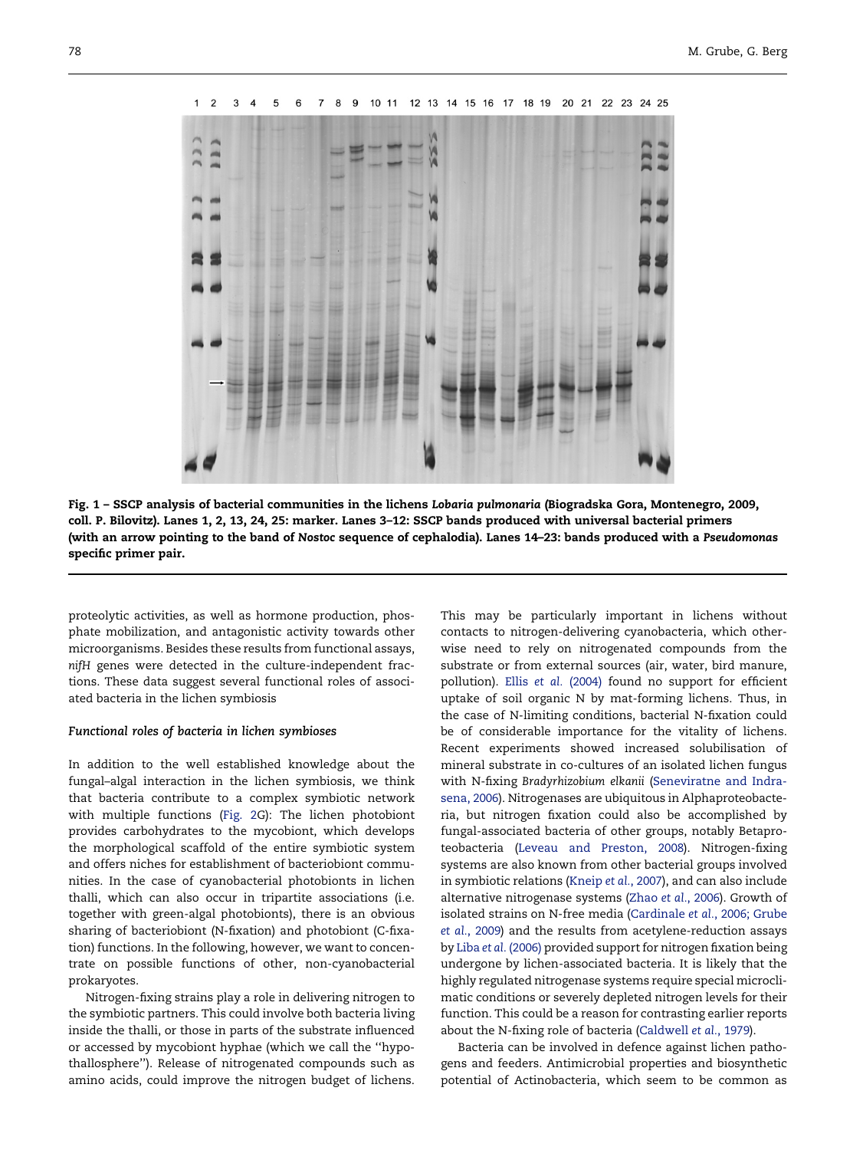<span id="page-6-0"></span>

Fig. 1 – SSCP analysis of bacterial communities in the lichens Lobaria pulmonaria (Biogradska Gora, Montenegro, 2009, coll. P. Bilovitz). Lanes 1, 2, 13, 24, 25: marker. Lanes 3–12: SSCP bands produced with universal bacterial primers (with an arrow pointing to the band of Nostoc sequence of cephalodia). Lanes 14–23: bands produced with a Pseudomonas specific primer pair.

proteolytic activities, as well as hormone production, phosphate mobilization, and antagonistic activity towards other microorganisms. Besides these results from functional assays, nifH genes were detected in the culture-independent fractions. These data suggest several functional roles of associated bacteria in the lichen symbiosis

# Functional roles of bacteria in lichen symbioses

In addition to the well established knowledge about the fungal–algal interaction in the lichen symbiosis, we think that bacteria contribute to a complex symbiotic network with multiple functions [\(Fig. 2](#page-7-0)G): The lichen photobiont provides carbohydrates to the mycobiont, which develops the morphological scaffold of the entire symbiotic system and offers niches for establishment of bacteriobiont communities. In the case of cyanobacterial photobionts in lichen thalli, which can also occur in tripartite associations (i.e. together with green-algal photobionts), there is an obvious sharing of bacteriobiont (N-fixation) and photobiont (C-fixation) functions. In the following, however, we want to concentrate on possible functions of other, non-cyanobacterial prokaryotes.

Nitrogen-fixing strains play a role in delivering nitrogen to the symbiotic partners. This could involve both bacteria living inside the thalli, or those in parts of the substrate influenced or accessed by mycobiont hyphae (which we call the ''hypothallosphere''). Release of nitrogenated compounds such as amino acids, could improve the nitrogen budget of lichens.

This may be particularly important in lichens without contacts to nitrogen-delivering cyanobacteria, which otherwise need to rely on nitrogenated compounds from the substrate or from external sources (air, water, bird manure, pollution). Ellis et al. [\(2004\)](#page-10-0) found no support for efficient uptake of soil organic N by mat-forming lichens. Thus, in the case of N-limiting conditions, bacterial N-fixation could be of considerable importance for the vitality of lichens. Recent experiments showed increased solubilisation of mineral substrate in co-cultures of an isolated lichen fungus with N-fixing Bradyrhizobium elkanii ([Seneviratne and Indra](#page-12-0)[sena, 2006](#page-12-0)). Nitrogenases are ubiquitous in Alphaproteobacteria, but nitrogen fixation could also be accomplished by fungal-associated bacteria of other groups, notably Betaproteobacteria ([Leveau and Preston, 2008\)](#page-11-0). Nitrogen-fixing systems are also known from other bacterial groups involved in symbiotic relations [\(Kneip](#page-11-0) et al., 2007), and can also include alternative nitrogenase systems (Zhao et al.[, 2006\)](#page-13-0). Growth of isolated strains on N-free media (Cardinale et al.[, 2006; Grube](#page-10-0) et al.[, 2009\)](#page-10-0) and the results from acetylene-reduction assays by Liba et al. [\(2006\)](#page-11-0) provided support for nitrogen fixation being undergone by lichen-associated bacteria. It is likely that the highly regulated nitrogenase systems require special microclimatic conditions or severely depleted nitrogen levels for their function. This could be a reason for contrasting earlier reports about the N-fixing role of bacteria [\(Caldwell](#page-10-0) et al., 1979).

Bacteria can be involved in defence against lichen pathogens and feeders. Antimicrobial properties and biosynthetic potential of Actinobacteria, which seem to be common as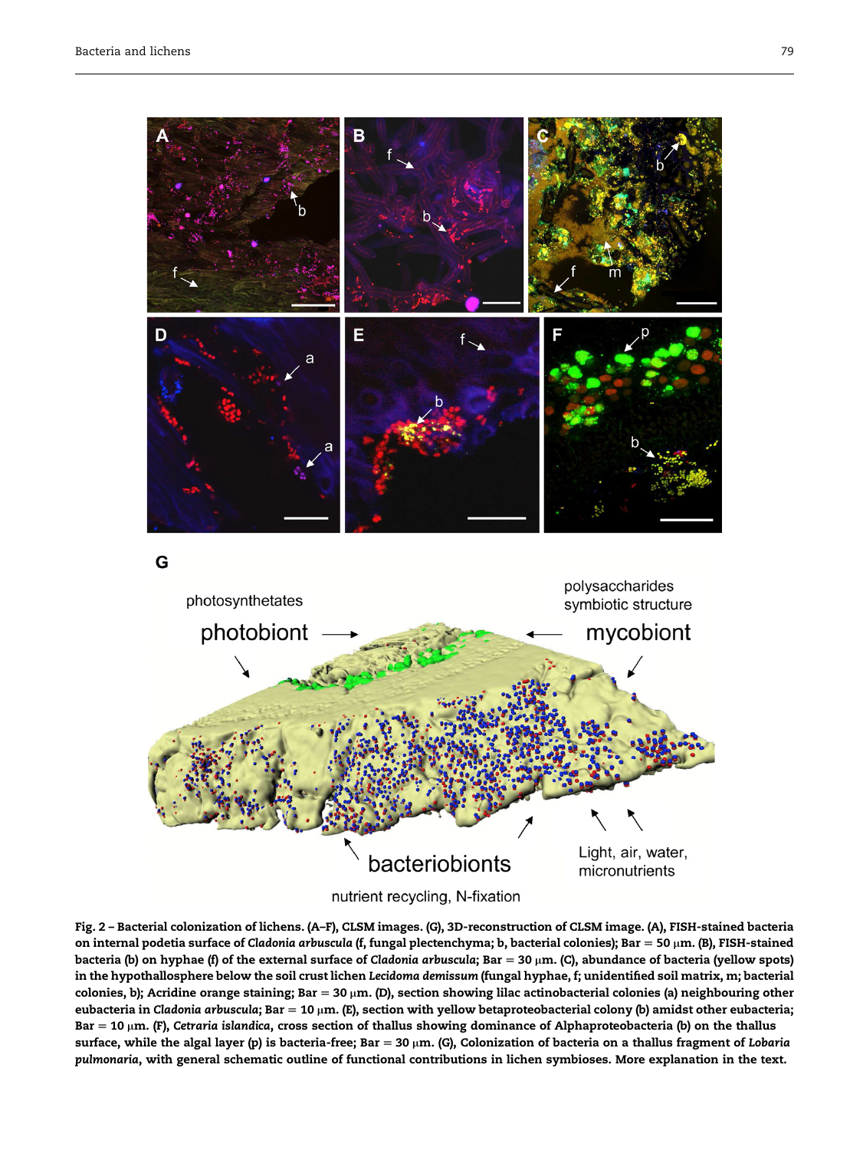<span id="page-7-0"></span>

nutrient recycling, N-fixation

Fig. 2 – Bacterial colonization of lichens. (A–F), CLSM images. (G), 3D-reconstruction of CLSM image. (A), FISH-stained bacteria on internal podetia surface of Cladonia arbuscula (f, fungal plectenchyma; b, bacterial colonies); Bar = 50 µm. (B), FISH-stained bacteria (b) on hyphae (f) of the external surface of Cladonia arbuscula; Bar = 30 µm. (C), abundance of bacteria (yellow spots) in the hypothallosphere below the soil crust lichen Lecidoma demissum (fungal hyphae, f; unidentified soil matrix, m; bacterial colonies, b); Acridine orange staining; Bar = 30  $\mu$ m. (D), section showing lilac actinobacterial colonies (a) neighbouring other eubacteria in Cladonia arbuscula; Bar = 10  $\mu$ m. (E), section with yellow betaproteobacterial colony (b) amidst other eubacteria; Bar  $=$  10  $\mu$ m. (F), Cetraria islandica, cross section of thallus showing dominance of Alphaproteobacteria (b) on the thallus surface, while the algal layer (p) is bacteria-free; Bar = 30  $\mu$ m. (G), Colonization of bacteria on a thallus fragment of Lobaria pulmonaria, with general schematic outline of functional contributions in lichen symbioses. More explanation in the text.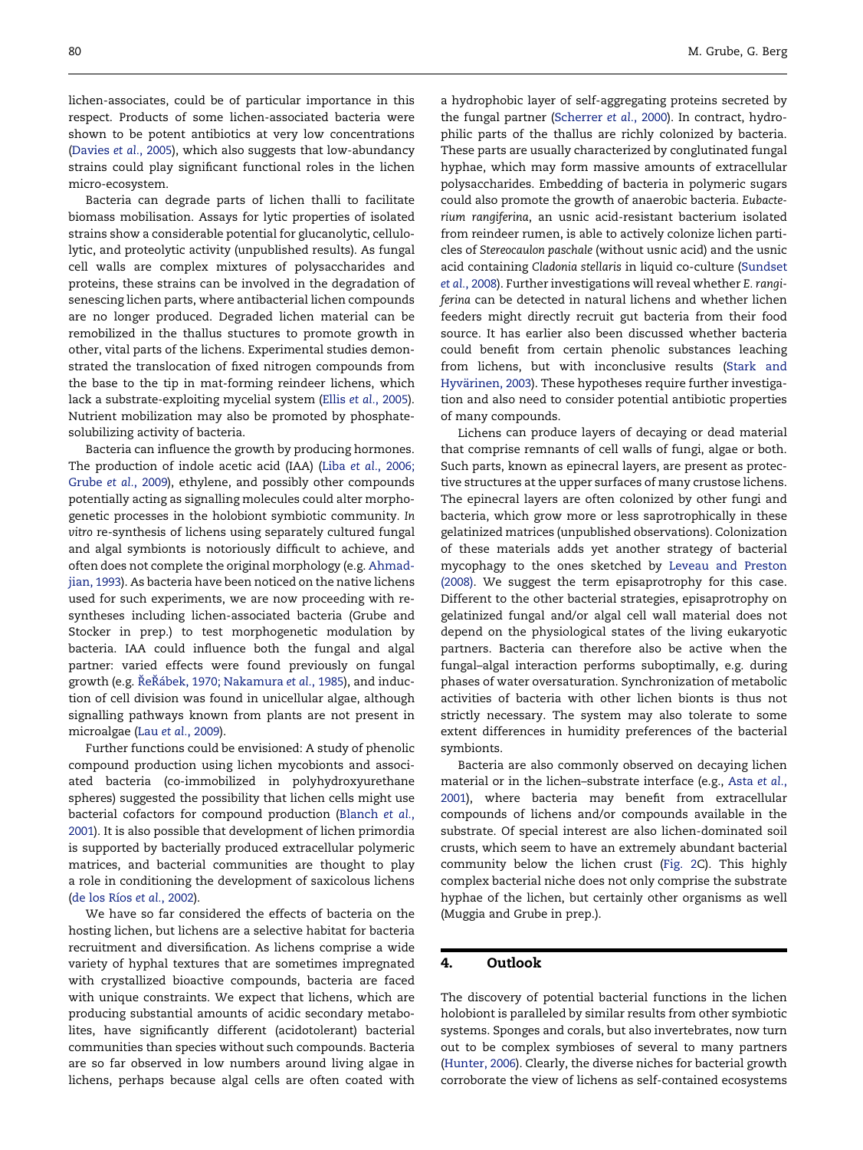lichen-associates, could be of particular importance in this respect. Products of some lichen-associated bacteria were shown to be potent antibiotics at very low concentrations ([Davies](#page-10-0) et al., 2005), which also suggests that low-abundancy strains could play significant functional roles in the lichen micro-ecosystem.

Bacteria can degrade parts of lichen thalli to facilitate biomass mobilisation. Assays for lytic properties of isolated strains show a considerable potential for glucanolytic, cellulolytic, and proteolytic activity (unpublished results). As fungal cell walls are complex mixtures of polysaccharides and proteins, these strains can be involved in the degradation of senescing lichen parts, where antibacterial lichen compounds are no longer produced. Degraded lichen material can be remobilized in the thallus stuctures to promote growth in other, vital parts of the lichens. Experimental studies demonstrated the translocation of fixed nitrogen compounds from the base to the tip in mat-forming reindeer lichens, which lack a substrate-exploiting mycelial system (Ellis et al.[, 2005\)](#page-10-0). Nutrient mobilization may also be promoted by phosphatesolubilizing activity of bacteria.

Bacteria can influence the growth by producing hormones. The production of indole acetic acid (IAA) (Liba et al.[, 2006;](#page-11-0) Grube et al.[, 2009\)](#page-11-0), ethylene, and possibly other compounds potentially acting as signalling molecules could alter morphogenetic processes in the holobiont symbiotic community. In vitro re-synthesis of lichens using separately cultured fungal and algal symbionts is notoriously difficult to achieve, and often does not complete the original morphology (e.g. [Ahmad](#page-9-0)[jian, 1993\)](#page-9-0). As bacteria have been noticed on the native lichens used for such experiments, we are now proceeding with resyntheses including lichen-associated bacteria (Grube and Stocker in prep.) to test morphogenetic modulation by bacteria. IAA could influence both the fungal and algal partner: varied effects were found previously on fungal growth (e.g. ŘeŘábek, 1970; Nakamura et al., 1985), and induction of cell division was found in unicellular algae, although signalling pathways known from plants are not present in microalgae (Lau et al.[, 2009\)](#page-11-0).

Further functions could be envisioned: A study of phenolic compound production using lichen mycobionts and associated bacteria (co-immobilized in polyhydroxyurethane spheres) suggested the possibility that lichen cells might use bacterial cofactors for compound production [\(Blanch](#page-10-0) et al., [2001\)](#page-10-0). It is also possible that development of lichen primordia is supported by bacterially produced extracellular polymeric matrices, and bacterial communities are thought to play a role in conditioning the development of saxicolous lichens (de los Ríos et al., 2002).

We have so far considered the effects of bacteria on the hosting lichen, but lichens are a selective habitat for bacteria recruitment and diversification. As lichens comprise a wide variety of hyphal textures that are sometimes impregnated with crystallized bioactive compounds, bacteria are faced with unique constraints. We expect that lichens, which are producing substantial amounts of acidic secondary metabolites, have significantly different (acidotolerant) bacterial communities than species without such compounds. Bacteria are so far observed in low numbers around living algae in lichens, perhaps because algal cells are often coated with a hydrophobic layer of self-aggregating proteins secreted by the fungal partner ([Scherrer](#page-12-0) et al., 2000). In contract, hydrophilic parts of the thallus are richly colonized by bacteria. These parts are usually characterized by conglutinated fungal hyphae, which may form massive amounts of extracellular polysaccharides. Embedding of bacteria in polymeric sugars could also promote the growth of anaerobic bacteria. Eubacterium rangiferina, an usnic acid-resistant bacterium isolated from reindeer rumen, is able to actively colonize lichen particles of Stereocaulon paschale (without usnic acid) and the usnic acid containing Cladonia stellaris in liquid co-culture ([Sundset](#page-12-0) et al.[, 2008](#page-12-0)). Further investigations will reveal whether E. rangiferina can be detected in natural lichens and whether lichen feeders might directly recruit gut bacteria from their food source. It has earlier also been discussed whether bacteria could benefit from certain phenolic substances leaching from lichens, but with inconclusive results ([Stark and](#page-12-0) Hyvä[rinen, 2003\)](#page-12-0). These hypotheses require further investigation and also need to consider potential antibiotic properties of many compounds.

Lichens can produce layers of decaying or dead material that comprise remnants of cell walls of fungi, algae or both. Such parts, known as epinecral layers, are present as protective structures at the upper surfaces of many crustose lichens. The epinecral layers are often colonized by other fungi and bacteria, which grow more or less saprotrophically in these gelatinized matrices (unpublished observations). Colonization of these materials adds yet another strategy of bacterial mycophagy to the ones sketched by [Leveau and Preston](#page-11-0) [\(2008\).](#page-11-0) We suggest the term episaprotrophy for this case. Different to the other bacterial strategies, episaprotrophy on gelatinized fungal and/or algal cell wall material does not depend on the physiological states of the living eukaryotic partners. Bacteria can therefore also be active when the fungal–algal interaction performs suboptimally, e.g. during phases of water oversaturation. Synchronization of metabolic activities of bacteria with other lichen bionts is thus not strictly necessary. The system may also tolerate to some extent differences in humidity preferences of the bacterial symbionts.

Bacteria are also commonly observed on decaying lichen material or in the lichen–substrate interface (e.g., Asta [et al.](#page-9-0), [2001\)](#page-9-0), where bacteria may benefit from extracellular compounds of lichens and/or compounds available in the substrate. Of special interest are also lichen-dominated soil crusts, which seem to have an extremely abundant bacterial community below the lichen crust [\(Fig. 2](#page-7-0)C). This highly complex bacterial niche does not only comprise the substrate hyphae of the lichen, but certainly other organisms as well (Muggia and Grube in prep.).

# 4. Outlook

The discovery of potential bacterial functions in the lichen holobiont is paralleled by similar results from other symbiotic systems. Sponges and corals, but also invertebrates, now turn out to be complex symbioses of several to many partners ([Hunter, 2006](#page-11-0)). Clearly, the diverse niches for bacterial growth corroborate the view of lichens as self-contained ecosystems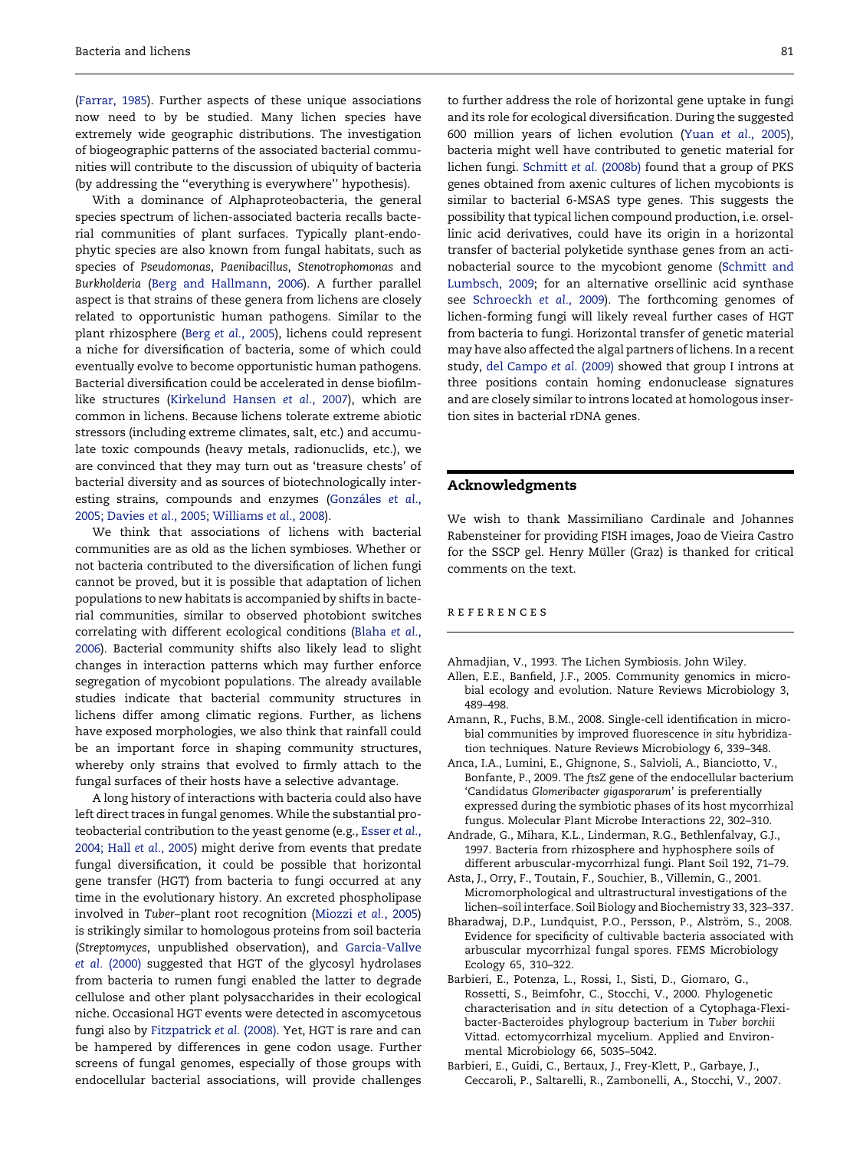<span id="page-9-0"></span>[\(Farrar, 1985\)](#page-10-0). Further aspects of these unique associations now need to by be studied. Many lichen species have extremely wide geographic distributions. The investigation of biogeographic patterns of the associated bacterial communities will contribute to the discussion of ubiquity of bacteria (by addressing the ''everything is everywhere'' hypothesis).

With a dominance of Alphaproteobacteria, the general species spectrum of lichen-associated bacteria recalls bacterial communities of plant surfaces. Typically plant-endophytic species are also known from fungal habitats, such as species of Pseudomonas, Paenibacillus, Stenotrophomonas and Burkholderia ([Berg and Hallmann, 2006](#page-10-0)). A further parallel aspect is that strains of these genera from lichens are closely related to opportunistic human pathogens. Similar to the plant rhizosphere (Berg et al.[, 2005\)](#page-10-0), lichens could represent a niche for diversification of bacteria, some of which could eventually evolve to become opportunistic human pathogens. Bacterial diversification could be accelerated in dense biofilmlike structures ([Kirkelund Hansen](#page-11-0) et al., 2007), which are common in lichens. Because lichens tolerate extreme abiotic stressors (including extreme climates, salt, etc.) and accumulate toxic compounds (heavy metals, radionuclids, etc.), we are convinced that they may turn out as 'treasure chests' of bacterial diversity and as sources of biotechnologically interesting strains, compounds and enzymes (Gonzáles et al., 2005; Davies et al.[, 2005; Williams](#page-10-0) et al., 2008).

We think that associations of lichens with bacterial communities are as old as the lichen symbioses. Whether or not bacteria contributed to the diversification of lichen fungi cannot be proved, but it is possible that adaptation of lichen populations to new habitats is accompanied by shifts in bacterial communities, similar to observed photobiont switches correlating with different ecological conditions ([Blaha](#page-10-0) et al., [2006](#page-10-0)). Bacterial community shifts also likely lead to slight changes in interaction patterns which may further enforce segregation of mycobiont populations. The already available studies indicate that bacterial community structures in lichens differ among climatic regions. Further, as lichens have exposed morphologies, we also think that rainfall could be an important force in shaping community structures, whereby only strains that evolved to firmly attach to the fungal surfaces of their hosts have a selective advantage.

A long history of interactions with bacteria could also have left direct traces in fungal genomes. While the substantial proteobacterial contribution to the yeast genome (e.g., [Esser](#page-10-0) et al., [2004; Hall](#page-10-0) et al., 2005) might derive from events that predate fungal diversification, it could be possible that horizontal gene transfer (HGT) from bacteria to fungi occurred at any time in the evolutionary history. An excreted phospholipase involved in Tuber–plant root recognition ([Miozzi](#page-11-0) et al., 2005) is strikingly similar to homologous proteins from soil bacteria (Streptomyces, unpublished observation), and [Garcia-Vallve](#page-10-0) et al. [\(2000\)](#page-10-0) suggested that HGT of the glycosyl hydrolases from bacteria to rumen fungi enabled the latter to degrade cellulose and other plant polysaccharides in their ecological niche. Occasional HGT events were detected in ascomycetous fungi also by [Fitzpatrick](#page-10-0) et al. (2008). Yet, HGT is rare and can be hampered by differences in gene codon usage. Further screens of fungal genomes, especially of those groups with endocellular bacterial associations, will provide challenges

to further address the role of horizontal gene uptake in fungi and its role for ecological diversification. During the suggested 600 million years of lichen evolution (Yuan et al.[, 2005](#page-13-0)), bacteria might well have contributed to genetic material for lichen fungi. [Schmitt](#page-12-0) et al. (2008b) found that a group of PKS genes obtained from axenic cultures of lichen mycobionts is similar to bacterial 6-MSAS type genes. This suggests the possibility that typical lichen compound production, i.e. orsellinic acid derivatives, could have its origin in a horizontal transfer of bacterial polyketide synthase genes from an actinobacterial source to the mycobiont genome [\(Schmitt and](#page-12-0) [Lumbsch, 2009;](#page-12-0) for an alternative orsellinic acid synthase see [Schroeckh](#page-12-0) et al., 2009). The forthcoming genomes of lichen-forming fungi will likely reveal further cases of HGT from bacteria to fungi. Horizontal transfer of genetic material may have also affected the algal partners of lichens. In a recent study, [del Campo](#page-10-0) et al. (2009) showed that group I introns at three positions contain homing endonuclease signatures and are closely similar to introns located at homologous insertion sites in bacterial rDNA genes.

#### Acknowledgments

We wish to thank Massimiliano Cardinale and Johannes Rabensteiner for providing FISH images, Joao de Vieira Castro for the SSCP gel. Henry Müller (Graz) is thanked for critical comments on the text.

#### references

Ahmadjian, V., 1993. The Lichen Symbiosis. John Wiley.

- Allen, E.E., Banfield, J.F., 2005. Community genomics in microbial ecology and evolution. Nature Reviews Microbiology 3, 489–498.
- Amann, R., Fuchs, B.M., 2008. Single-cell identification in microbial communities by improved fluorescence in situ hybridization techniques. Nature Reviews Microbiology 6, 339–348.
- Anca, I.A., Lumini, E., Ghignone, S., Salvioli, A., Bianciotto, V., Bonfante, P., 2009. The ftsZ gene of the endocellular bacterium 'Candidatus Glomeribacter gigasporarum' is preferentially expressed during the symbiotic phases of its host mycorrhizal fungus. Molecular Plant Microbe Interactions 22, 302–310.
- Andrade, G., Mihara, K.L., Linderman, R.G., Bethlenfalvay, G.J., 1997. Bacteria from rhizosphere and hyphosphere soils of different arbuscular-mycorrhizal fungi. Plant Soil 192, 71–79.
- Asta, J., Orry, F., Toutain, F., Souchier, B., Villemin, G., 2001. Micromorphological and ultrastructural investigations of the lichen–soil interface. Soil Biology and Biochemistry 33, 323–337.
- Bharadwaj, D.P., Lundquist, P.O., Persson, P., Alström, S., 2008. Evidence for specificity of cultivable bacteria associated with arbuscular mycorrhizal fungal spores. FEMS Microbiology Ecology 65, 310–322.
- Barbieri, E., Potenza, L., Rossi, I., Sisti, D., Giomaro, G., Rossetti, S., Beimfohr, C., Stocchi, V., 2000. Phylogenetic characterisation and in situ detection of a Cytophaga-Flexibacter-Bacteroides phylogroup bacterium in Tuber borchii Vittad. ectomycorrhizal mycelium. Applied and Environmental Microbiology 66, 5035–5042.
- Barbieri, E., Guidi, C., Bertaux, J., Frey-Klett, P., Garbaye, J., Ceccaroli, P., Saltarelli, R., Zambonelli, A., Stocchi, V., 2007.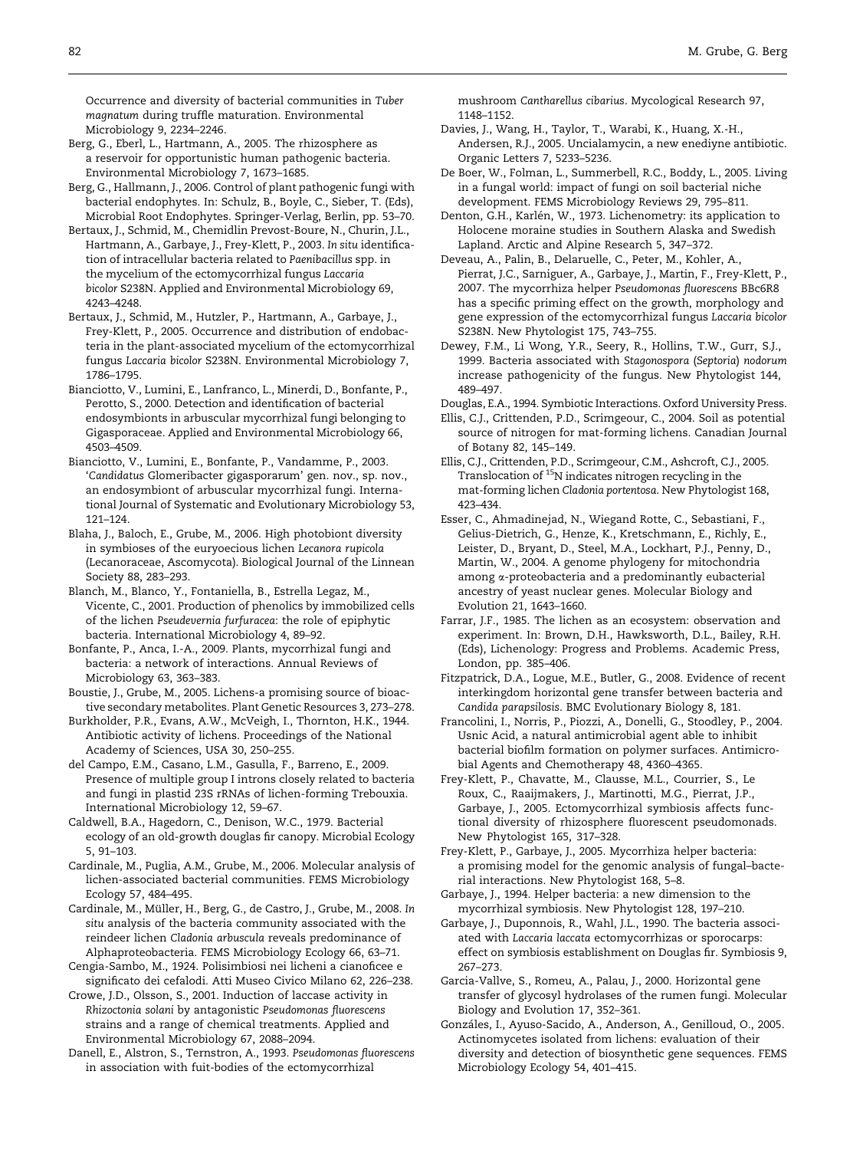<span id="page-10-0"></span>Occurrence and diversity of bacterial communities in Tuber magnatum during truffle maturation. Environmental Microbiology 9, 2234–2246.

Berg, G., Eberl, L., Hartmann, A., 2005. The rhizosphere as a reservoir for opportunistic human pathogenic bacteria. Environmental Microbiology 7, 1673–1685.

Berg, G., Hallmann, J., 2006. Control of plant pathogenic fungi with bacterial endophytes. In: Schulz, B., Boyle, C., Sieber, T. (Eds), Microbial Root Endophytes. Springer-Verlag, Berlin, pp. 53–70.

Bertaux, J., Schmid, M., Chemidlin Prevost-Boure, N., Churin, J.L., Hartmann, A., Garbaye, J., Frey-Klett, P., 2003. In situ identification of intracellular bacteria related to Paenibacillus spp. in the mycelium of the ectomycorrhizal fungus Laccaria bicolor S238N. Applied and Environmental Microbiology 69, 4243–4248.

Bertaux, J., Schmid, M., Hutzler, P., Hartmann, A., Garbaye, J., Frey-Klett, P., 2005. Occurrence and distribution of endobacteria in the plant-associated mycelium of the ectomycorrhizal fungus Laccaria bicolor S238N. Environmental Microbiology 7, 1786–1795.

Bianciotto, V., Lumini, E., Lanfranco, L., Minerdi, D., Bonfante, P., Perotto, S., 2000. Detection and identification of bacterial endosymbionts in arbuscular mycorrhizal fungi belonging to Gigasporaceae. Applied and Environmental Microbiology 66, 4503–4509.

Bianciotto, V., Lumini, E., Bonfante, P., Vandamme, P., 2003. 'Candidatus Glomeribacter gigasporarum' gen. nov., sp. nov., an endosymbiont of arbuscular mycorrhizal fungi. International Journal of Systematic and Evolutionary Microbiology 53, 121–124.

Blaha, J., Baloch, E., Grube, M., 2006. High photobiont diversity in symbioses of the euryoecious lichen Lecanora rupicola (Lecanoraceae, Ascomycota). Biological Journal of the Linnean Society 88, 283–293.

Blanch, M., Blanco, Y., Fontaniella, B., Estrella Legaz, M., Vicente, C., 2001. Production of phenolics by immobilized cells of the lichen Pseudevernia furfuracea: the role of epiphytic bacteria. International Microbiology 4, 89–92.

Bonfante, P., Anca, I.-A., 2009. Plants, mycorrhizal fungi and bacteria: a network of interactions. Annual Reviews of Microbiology 63, 363–383.

Boustie, J., Grube, M., 2005. Lichens-a promising source of bioactive secondary metabolites. Plant Genetic Resources 3, 273–278.

Burkholder, P.R., Evans, A.W., McVeigh, I., Thornton, H.K., 1944. Antibiotic activity of lichens. Proceedings of the National Academy of Sciences, USA 30, 250–255.

del Campo, E.M., Casano, L.M., Gasulla, F., Barreno, E., 2009. Presence of multiple group I introns closely related to bacteria and fungi in plastid 23S rRNAs of lichen-forming Trebouxia. International Microbiology 12, 59–67.

Caldwell, B.A., Hagedorn, C., Denison, W.C., 1979. Bacterial ecology of an old-growth douglas fir canopy. Microbial Ecology 5, 91–103.

Cardinale, M., Puglia, A.M., Grube, M., 2006. Molecular analysis of lichen-associated bacterial communities. FEMS Microbiology Ecology 57, 484–495.

Cardinale, M., Müller, H., Berg, G., de Castro, J., Grube, M., 2008. In situ analysis of the bacteria community associated with the reindeer lichen Cladonia arbuscula reveals predominance of Alphaproteobacteria. FEMS Microbiology Ecology 66, 63–71.

Cengia-Sambo, M., 1924. Polisimbiosi nei licheni a cianoficee e significato dei cefalodi. Atti Museo Civico Milano 62, 226–238.

Crowe, J.D., Olsson, S., 2001. Induction of laccase activity in Rhizoctonia solani by antagonistic Pseudomonas fluorescens strains and a range of chemical treatments. Applied and Environmental Microbiology 67, 2088–2094.

Danell, E., Alstron, S., Ternstron, A., 1993. Pseudomonas fluorescens in association with fuit-bodies of the ectomycorrhizal

mushroom Cantharellus cibarius. Mycological Research 97, 1148–1152.

Davies, J., Wang, H., Taylor, T., Warabi, K., Huang, X.-H., Andersen, R.J., 2005. Uncialamycin, a new enediyne antibiotic. Organic Letters 7, 5233–5236.

De Boer, W., Folman, L., Summerbell, R.C., Boddy, L., 2005. Living in a fungal world: impact of fungi on soil bacterial niche development. FEMS Microbiology Reviews 29, 795–811.

Denton, G.H., Karlén, W., 1973. Lichenometry: its application to Holocene moraine studies in Southern Alaska and Swedish Lapland. Arctic and Alpine Research 5, 347–372.

Deveau, A., Palin, B., Delaruelle, C., Peter, M., Kohler, A., Pierrat, J.C., Sarniguer, A., Garbaye, J., Martin, F., Frey-Klett, P., 2007. The mycorrhiza helper Pseudomonas fluorescens BBc6R8 has a specific priming effect on the growth, morphology and gene expression of the ectomycorrhizal fungus Laccaria bicolor S238N. New Phytologist 175, 743–755.

Dewey, F.M., Li Wong, Y.R., Seery, R., Hollins, T.W., Gurr, S.J., 1999. Bacteria associated with Stagonospora (Septoria) nodorum increase pathogenicity of the fungus. New Phytologist 144, 489–497.

Douglas, E.A., 1994. Symbiotic Interactions. Oxford University Press.

Ellis, C.J., Crittenden, P.D., Scrimgeour, C., 2004. Soil as potential source of nitrogen for mat-forming lichens. Canadian Journal of Botany 82, 145–149.

Ellis, C.J., Crittenden, P.D., Scrimgeour, C.M., Ashcroft, C.J., 2005. Translocation of <sup>15</sup>N indicates nitrogen recycling in the mat-forming lichen Cladonia portentosa. New Phytologist 168, 423–434.

Esser, C., Ahmadinejad, N., Wiegand Rotte, C., Sebastiani, F., Gelius-Dietrich, G., Henze, K., Kretschmann, E., Richly, E., Leister, D., Bryant, D., Steel, M.A., Lockhart, P.J., Penny, D., Martin, W., 2004. A genome phylogeny for mitochondria among a-proteobacteria and a predominantly eubacterial ancestry of yeast nuclear genes. Molecular Biology and Evolution 21, 1643–1660.

Farrar, J.F., 1985. The lichen as an ecosystem: observation and experiment. In: Brown, D.H., Hawksworth, D.L., Bailey, R.H. (Eds), Lichenology: Progress and Problems. Academic Press, London, pp. 385–406.

Fitzpatrick, D.A., Logue, M.E., Butler, G., 2008. Evidence of recent interkingdom horizontal gene transfer between bacteria and Candida parapsilosis. BMC Evolutionary Biology 8, 181.

Francolini, I., Norris, P., Piozzi, A., Donelli, G., Stoodley, P., 2004. Usnic Acid, a natural antimicrobial agent able to inhibit bacterial biofilm formation on polymer surfaces. Antimicrobial Agents and Chemotherapy 48, 4360–4365.

Frey-Klett, P., Chavatte, M., Clausse, M.L., Courrier, S., Le Roux, C., Raaijmakers, J., Martinotti, M.G., Pierrat, J.P., Garbaye, J., 2005. Ectomycorrhizal symbiosis affects functional diversity of rhizosphere fluorescent pseudomonads. New Phytologist 165, 317–328.

Frey-Klett, P., Garbaye, J., 2005. Mycorrhiza helper bacteria: a promising model for the genomic analysis of fungal–bacterial interactions. New Phytologist 168, 5–8.

Garbaye, J., 1994. Helper bacteria: a new dimension to the mycorrhizal symbiosis. New Phytologist 128, 197–210.

Garbaye, J., Duponnois, R., Wahl, J.L., 1990. The bacteria associated with Laccaria laccata ectomycorrhizas or sporocarps: effect on symbiosis establishment on Douglas fir. Symbiosis 9, 267–273.

Garcia-Vallve, S., Romeu, A., Palau, J., 2000. Horizontal gene transfer of glycosyl hydrolases of the rumen fungi. Molecular Biology and Evolution 17, 352–361.

Gonzáles, I., Ayuso-Sacido, A., Anderson, A., Genilloud, O., 2005. Actinomycetes isolated from lichens: evaluation of their diversity and detection of biosynthetic gene sequences. FEMS Microbiology Ecology 54, 401–415.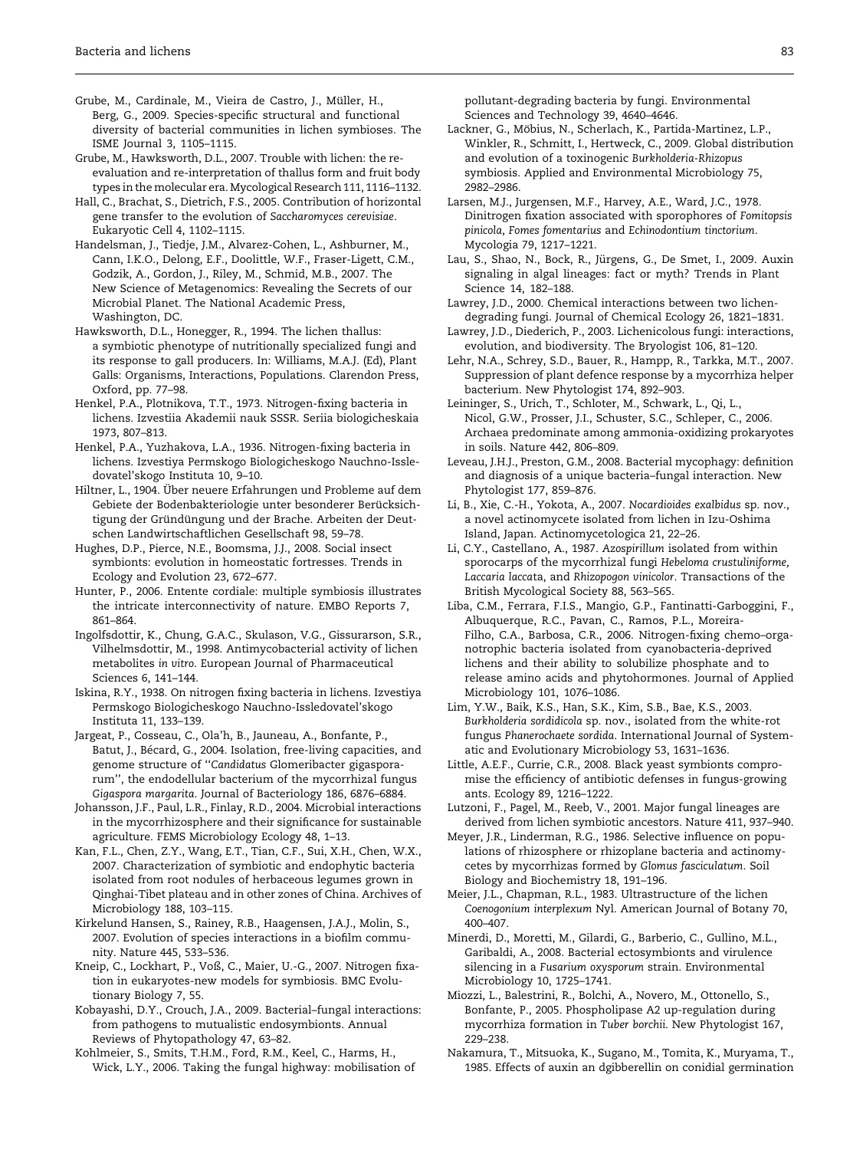- <span id="page-11-0"></span>Grube, M., Cardinale, M., Vieira de Castro, J., Müller, H., Berg, G., 2009. Species-specific structural and functional diversity of bacterial communities in lichen symbioses. The ISME Journal 3, 1105–1115.
- Grube, M., Hawksworth, D.L., 2007. Trouble with lichen: the reevaluation and re-interpretation of thallus form and fruit body types in the molecular era. Mycological Research 111, 1116–1132.
- Hall, C., Brachat, S., Dietrich, F.S., 2005. Contribution of horizontal gene transfer to the evolution of Saccharomyces cerevisiae. Eukaryotic Cell 4, 1102–1115.
- Handelsman, J., Tiedje, J.M., Alvarez-Cohen, L., Ashburner, M., Cann, I.K.O., Delong, E.F., Doolittle, W.F., Fraser-Ligett, C.M., Godzik, A., Gordon, J., Riley, M., Schmid, M.B., 2007. The New Science of Metagenomics: Revealing the Secrets of our Microbial Planet. The National Academic Press, Washington, DC.
- Hawksworth, D.L., Honegger, R., 1994. The lichen thallus: a symbiotic phenotype of nutritionally specialized fungi and its response to gall producers. In: Williams, M.A.J. (Ed), Plant Galls: Organisms, Interactions, Populations. Clarendon Press, Oxford, pp. 77–98.
- Henkel, P.A., Plotnikova, T.T., 1973. Nitrogen-fixing bacteria in lichens. Izvestiia Akademii nauk SSSR. Seriia biologicheskaia 1973, 807–813.
- Henkel, P.A., Yuzhakova, L.A., 1936. Nitrogen-fixing bacteria in lichens. Izvestiya Permskogo Biologicheskogo Nauchno-Issledovatel'skogo Instituta 10, 9–10.
- Hiltner, L., 1904. Über neuere Erfahrungen und Probleme auf dem Gebiete der Bodenbakteriologie unter besonderer Berücksichtigung der Gründüngung und der Brache. Arbeiten der Deutschen Landwirtschaftlichen Gesellschaft 98, 59–78.
- Hughes, D.P., Pierce, N.E., Boomsma, J.J., 2008. Social insect symbionts: evolution in homeostatic fortresses. Trends in Ecology and Evolution 23, 672–677.
- Hunter, P., 2006. Entente cordiale: multiple symbiosis illustrates the intricate interconnectivity of nature. EMBO Reports 7, 861–864.
- Ingolfsdottir, K., Chung, G.A.C., Skulason, V.G., Gissurarson, S.R., Vilhelmsdottir, M., 1998. Antimycobacterial activity of lichen metabolites in vitro. European Journal of Pharmaceutical Sciences 6, 141–144.
- Iskina, R.Y., 1938. On nitrogen fixing bacteria in lichens. Izvestiya Permskogo Biologicheskogo Nauchno-Issledovatel'skogo Instituta 11, 133–139.
- Jargeat, P., Cosseau, C., Ola'h, B., Jauneau, A., Bonfante, P., Batut, J., Bécard, G., 2004. Isolation, free-living capacities, and genome structure of ''Candidatus Glomeribacter gigasporarum'', the endodellular bacterium of the mycorrhizal fungus Gigaspora margarita. Journal of Bacteriology 186, 6876–6884.
- Johansson, J.F., Paul, L.R., Finlay, R.D., 2004. Microbial interactions in the mycorrhizosphere and their significance for sustainable agriculture. FEMS Microbiology Ecology 48, 1–13.
- Kan, F.L., Chen, Z.Y., Wang, E.T., Tian, C.F., Sui, X.H., Chen, W.X., 2007. Characterization of symbiotic and endophytic bacteria isolated from root nodules of herbaceous legumes grown in Qinghai-Tibet plateau and in other zones of China. Archives of Microbiology 188, 103–115.
- Kirkelund Hansen, S., Rainey, R.B., Haagensen, J.A.J., Molin, S., 2007. Evolution of species interactions in a biofilm community. Nature 445, 533–536.
- Kneip, C., Lockhart, P., Voß, C., Maier, U.-G., 2007. Nitrogen fixation in eukaryotes-new models for symbiosis. BMC Evolutionary Biology 7, 55.
- Kobayashi, D.Y., Crouch, J.A., 2009. Bacterial–fungal interactions: from pathogens to mutualistic endosymbionts. Annual Reviews of Phytopathology 47, 63–82.
- Kohlmeier, S., Smits, T.H.M., Ford, R.M., Keel, C., Harms, H., Wick, L.Y., 2006. Taking the fungal highway: mobilisation of

pollutant-degrading bacteria by fungi. Environmental Sciences and Technology 39, 4640–4646.

- Lackner, G., Möbius, N., Scherlach, K., Partida-Martinez, L.P., Winkler, R., Schmitt, I., Hertweck, C., 2009. Global distribution and evolution of a toxinogenic Burkholderia-Rhizopus symbiosis. Applied and Environmental Microbiology 75, 2982–2986.
- Larsen, M.J., Jurgensen, M.F., Harvey, A.E., Ward, J.C., 1978. Dinitrogen fixation associated with sporophores of Fomitopsis pinicola, Fomes fomentarius and Echinodontium tinctorium. Mycologia 79, 1217–1221.
- Lau, S., Shao, N., Bock, R., Jürgens, G., De Smet, I., 2009. Auxin signaling in algal lineages: fact or myth? Trends in Plant Science 14, 182–188.
- Lawrey, J.D., 2000. Chemical interactions between two lichendegrading fungi. Journal of Chemical Ecology 26, 1821–1831.
- Lawrey, J.D., Diederich, P., 2003. Lichenicolous fungi: interactions, evolution, and biodiversity. The Bryologist 106, 81–120.
- Lehr, N.A., Schrey, S.D., Bauer, R., Hampp, R., Tarkka, M.T., 2007. Suppression of plant defence response by a mycorrhiza helper bacterium. New Phytologist 174, 892–903.
- Leininger, S., Urich, T., Schloter, M., Schwark, L., Qi, L., Nicol, G.W., Prosser, J.I., Schuster, S.C., Schleper, C., 2006. Archaea predominate among ammonia-oxidizing prokaryotes in soils. Nature 442, 806–809.
- Leveau, J.H.J., Preston, G.M., 2008. Bacterial mycophagy: definition and diagnosis of a unique bacteria–fungal interaction. New Phytologist 177, 859–876.
- Li, B., Xie, C.-H., Yokota, A., 2007. Nocardioides exalbidus sp. nov., a novel actinomycete isolated from lichen in Izu-Oshima Island, Japan. Actinomycetologica 21, 22–26.
- Li, C.Y., Castellano, A., 1987. Azospirillum isolated from within sporocarps of the mycorrhizal fungi Hebeloma crustuliniforme, Laccaria laccata, and Rhizopogon vinicolor. Transactions of the British Mycological Society 88, 563–565.
- Liba, C.M., Ferrara, F.I.S., Mangio, G.P., Fantinatti-Garboggini, F., Albuquerque, R.C., Pavan, C., Ramos, P.L., Moreira-Filho, C.A., Barbosa, C.R., 2006. Nitrogen-fixing chemo–organotrophic bacteria isolated from cyanobacteria-deprived lichens and their ability to solubilize phosphate and to release amino acids and phytohormones. Journal of Applied Microbiology 101, 1076–1086.
- Lim, Y.W., Baik, K.S., Han, S.K., Kim, S.B., Bae, K.S., 2003. Burkholderia sordidicola sp. nov., isolated from the white-rot fungus Phanerochaete sordida. International Journal of Systematic and Evolutionary Microbiology 53, 1631–1636.
- Little, A.E.F., Currie, C.R., 2008. Black yeast symbionts compromise the efficiency of antibiotic defenses in fungus-growing ants. Ecology 89, 1216–1222.
- Lutzoni, F., Pagel, M., Reeb, V., 2001. Major fungal lineages are derived from lichen symbiotic ancestors. Nature 411, 937–940.
- Meyer, J.R., Linderman, R.G., 1986. Selective influence on populations of rhizosphere or rhizoplane bacteria and actinomycetes by mycorrhizas formed by Glomus fasciculatum. Soil Biology and Biochemistry 18, 191–196.
- Meier, J.L., Chapman, R.L., 1983. Ultrastructure of the lichen Coenogonium interplexum Nyl. American Journal of Botany 70, 400–407.
- Minerdi, D., Moretti, M., Gilardi, G., Barberio, C., Gullino, M.L., Garibaldi, A., 2008. Bacterial ectosymbionts and virulence silencing in a Fusarium oxysporum strain. Environmental Microbiology 10, 1725–1741.
- Miozzi, L., Balestrini, R., Bolchi, A., Novero, M., Ottonello, S., Bonfante, P., 2005. Phospholipase A2 up-regulation during mycorrhiza formation in Tuber borchii. New Phytologist 167, 229–238.
- Nakamura, T., Mitsuoka, K., Sugano, M., Tomita, K., Muryama, T., 1985. Effects of auxin an dgibberellin on conidial germination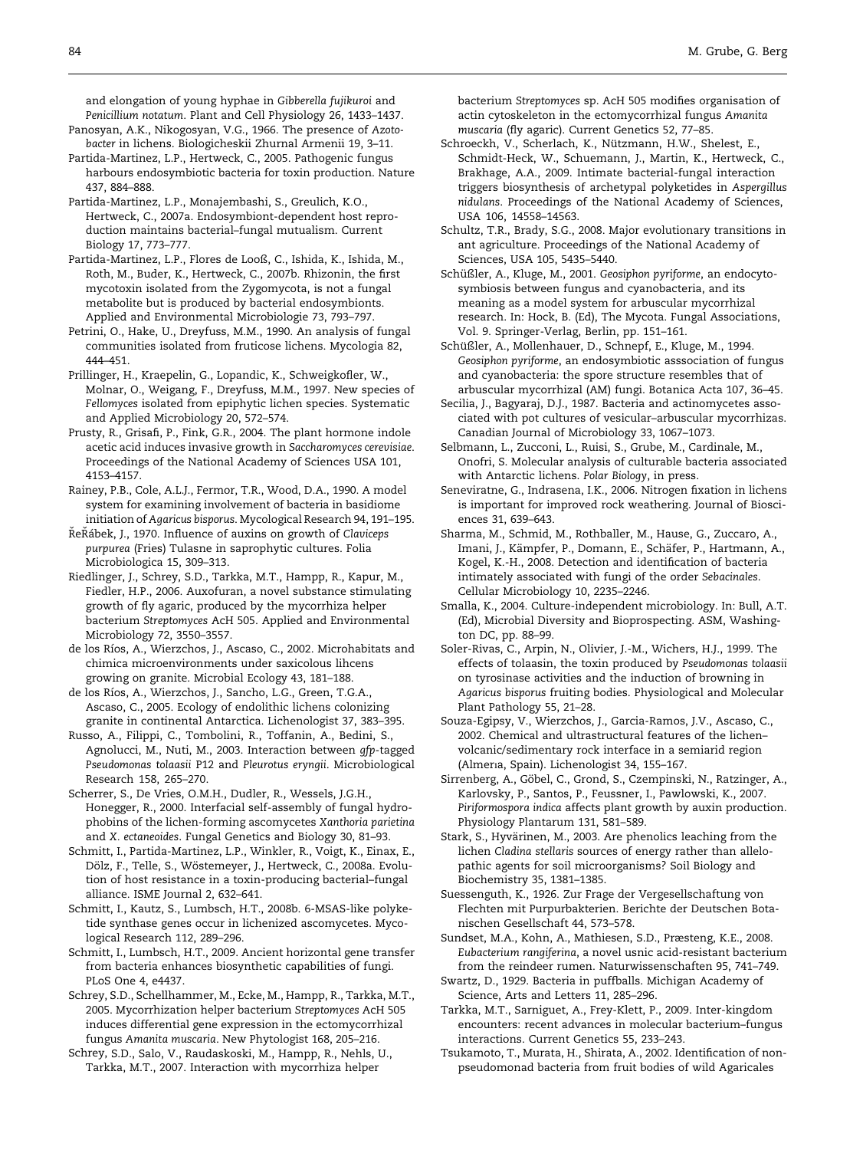<span id="page-12-0"></span>and elongation of young hyphae in Gibberella fujikuroi and Penicillium notatum. Plant and Cell Physiology 26, 1433–1437.

- Panosyan, A.K., Nikogosyan, V.G., 1966. The presence of Azotobacter in lichens. Biologicheskii Zhurnal Armenii 19, 3–11.
- Partida-Martinez, L.P., Hertweck, C., 2005. Pathogenic fungus harbours endosymbiotic bacteria for toxin production. Nature 437, 884–888.

Partida-Martinez, L.P., Monajembashi, S., Greulich, K.O., Hertweck, C., 2007a. Endosymbiont-dependent host reproduction maintains bacterial–fungal mutualism. Current Biology 17, 773–777.

Partida-Martinez, L.P., Flores de Looß, C., Ishida, K., Ishida, M., Roth, M., Buder, K., Hertweck, C., 2007b. Rhizonin, the first mycotoxin isolated from the Zygomycota, is not a fungal metabolite but is produced by bacterial endosymbionts. Applied and Environmental Microbiologie 73, 793–797.

Petrini, O., Hake, U., Dreyfuss, M.M., 1990. An analysis of fungal communities isolated from fruticose lichens. Mycologia 82, 444–451.

Prillinger, H., Kraepelin, G., Lopandic, K., Schweigkofler, W., Molnar, O., Weigang, F., Dreyfuss, M.M., 1997. New species of Fellomyces isolated from epiphytic lichen species. Systematic and Applied Microbiology 20, 572–574.

Prusty, R., Grisafi, P., Fink, G.R., 2004. The plant hormone indole acetic acid induces invasive growth in Saccharomyces cerevisiae. Proceedings of the National Academy of Sciences USA 101, 4153–4157.

Rainey, P.B., Cole, A.L.J., Fermor, T.R., Wood, D.A., 1990. A model system for examining involvement of bacteria in basidiome initiation of Agaricus bisporus. Mycological Research 94, 191–195.

ŘeŘábek, J., 1970. Influence of auxins on growth of Claviceps purpurea (Fries) Tulasne in saprophytic cultures. Folia Microbiologica 15, 309–313.

Riedlinger, J., Schrey, S.D., Tarkka, M.T., Hampp, R., Kapur, M., Fiedler, H.P., 2006. Auxofuran, a novel substance stimulating growth of fly agaric, produced by the mycorrhiza helper bacterium Streptomyces AcH 505. Applied and Environmental Microbiology 72, 3550–3557.

de los Ríos, A., Wierzchos, J., Ascaso, C., 2002. Microhabitats and chimica microenvironments under saxicolous lihcens growing on granite. Microbial Ecology 43, 181–188.

de los Ríos, A., Wierzchos, J., Sancho, L.G., Green, T.G.A., Ascaso, C., 2005. Ecology of endolithic lichens colonizing granite in continental Antarctica. Lichenologist 37, 383–395.

Russo, A., Filippi, C., Tombolini, R., Toffanin, A., Bedini, S., Agnolucci, M., Nuti, M., 2003. Interaction between gfp-tagged Pseudomonas tolaasii P12 and Pleurotus eryngii. Microbiological Research 158, 265–270.

Scherrer, S., De Vries, O.M.H., Dudler, R., Wessels, J.G.H., Honegger, R., 2000. Interfacial self-assembly of fungal hydrophobins of the lichen-forming ascomycetes Xanthoria parietina and X. ectaneoides. Fungal Genetics and Biology 30, 81–93.

Schmitt, I., Partida-Martinez, L.P., Winkler, R., Voigt, K., Einax, E., Dölz, F., Telle, S., Wöstemeyer, J., Hertweck, C., 2008a. Evolution of host resistance in a toxin-producing bacterial–fungal alliance. ISME Journal 2, 632–641.

Schmitt, I., Kautz, S., Lumbsch, H.T., 2008b. 6-MSAS-like polyketide synthase genes occur in lichenized ascomycetes. Mycological Research 112, 289–296.

Schmitt, I., Lumbsch, H.T., 2009. Ancient horizontal gene transfer from bacteria enhances biosynthetic capabilities of fungi. PLoS One 4, e4437.

Schrey, S.D., Schellhammer, M., Ecke, M., Hampp, R., Tarkka, M.T., 2005. Mycorrhization helper bacterium Streptomyces AcH 505 induces differential gene expression in the ectomycorrhizal fungus Amanita muscaria. New Phytologist 168, 205–216.

Schrey, S.D., Salo, V., Raudaskoski, M., Hampp, R., Nehls, U., Tarkka, M.T., 2007. Interaction with mycorrhiza helper

bacterium Streptomyces sp. AcH 505 modifies organisation of actin cytoskeleton in the ectomycorrhizal fungus Amanita muscaria (fly agaric). Current Genetics 52, 77–85.

Schroeckh, V., Scherlach, K., Nützmann, H.W., Shelest, E., Schmidt-Heck, W., Schuemann, J., Martin, K., Hertweck, C., Brakhage, A.A., 2009. Intimate bacterial-fungal interaction triggers biosynthesis of archetypal polyketides in Aspergillus nidulans. Proceedings of the National Academy of Sciences, USA 106, 14558–14563.

Schultz, T.R., Brady, S.G., 2008. Major evolutionary transitions in ant agriculture. Proceedings of the National Academy of Sciences, USA 105, 5435–5440.

Schüßler, A., Kluge, M., 2001. Geosiphon pyriforme, an endocytosymbiosis between fungus and cyanobacteria, and its meaning as a model system for arbuscular mycorrhizal research. In: Hock, B. (Ed), The Mycota. Fungal Associations, Vol. 9. Springer-Verlag, Berlin, pp. 151–161.

Schüßler, A., Mollenhauer, D., Schnepf, E., Kluge, M., 1994. Geosiphon pyriforme, an endosymbiotic asssociation of fungus and cyanobacteria: the spore structure resembles that of arbuscular mycorrhizal (AM) fungi. Botanica Acta 107, 36–45.

Secilia, J., Bagyaraj, D.J., 1987. Bacteria and actinomycetes associated with pot cultures of vesicular–arbuscular mycorrhizas. Canadian Journal of Microbiology 33, 1067–1073.

Selbmann, L., Zucconi, L., Ruisi, S., Grube, M., Cardinale, M., Onofri, S. Molecular analysis of culturable bacteria associated with Antarctic lichens. Polar Biology, in press.

Seneviratne, G., Indrasena, I.K., 2006. Nitrogen fixation in lichens is important for improved rock weathering. Journal of Biosciences 31, 639–643.

Sharma, M., Schmid, M., Rothballer, M., Hause, G., Zuccaro, A., Imani, J., Kämpfer, P., Domann, E., Schäfer, P., Hartmann, A., Kogel, K.-H., 2008. Detection and identification of bacteria intimately associated with fungi of the order Sebacinales. Cellular Microbiology 10, 2235–2246.

Smalla, K., 2004. Culture-independent microbiology. In: Bull, A.T. (Ed), Microbial Diversity and Bioprospecting. ASM, Washington DC, pp. 88–99.

Soler-Rivas, C., Arpin, N., Olivier, J.-M., Wichers, H.J., 1999. The effects of tolaasin, the toxin produced by Pseudomonas tolaasii on tyrosinase activities and the induction of browning in Agaricus bisporus fruiting bodies. Physiological and Molecular Plant Pathology 55, 21–28.

Souza-Egipsy, V., Wierzchos, J., Garcia-Ramos, J.V., Ascaso, C., 2002. Chemical and ultrastructural features of the lichen– volcanic/sedimentary rock interface in a semiarid region (Almerıa, Spain). Lichenologist 34, 155–167.

Sirrenberg, A., Göbel, C., Grond, S., Czempinski, N., Ratzinger, A., Karlovsky, P., Santos, P., Feussner, I., Pawlowski, K., 2007. Piriformospora indica affects plant growth by auxin production. Physiology Plantarum 131, 581–589.

Stark, S., Hyvärinen, M., 2003. Are phenolics leaching from the lichen Cladina stellaris sources of energy rather than allelopathic agents for soil microorganisms? Soil Biology and Biochemistry 35, 1381–1385.

Suessenguth, K., 1926. Zur Frage der Vergesellschaftung von Flechten mit Purpurbakterien. Berichte der Deutschen Botanischen Gesellschaft 44, 573–578.

Sundset, M.A., Kohn, A., Mathiesen, S.D., Præsteng, K.E., 2008. Eubacterium rangiferina, a novel usnic acid-resistant bacterium from the reindeer rumen. Naturwissenschaften 95, 741–749.

Swartz, D., 1929. Bacteria in puffballs. Michigan Academy of Science, Arts and Letters 11, 285–296.

Tarkka, M.T., Sarniguet, A., Frey-Klett, P., 2009. Inter-kingdom encounters: recent advances in molecular bacterium–fungus interactions. Current Genetics 55, 233–243.

Tsukamoto, T., Murata, H., Shirata, A., 2002. Identification of nonpseudomonad bacteria from fruit bodies of wild Agaricales